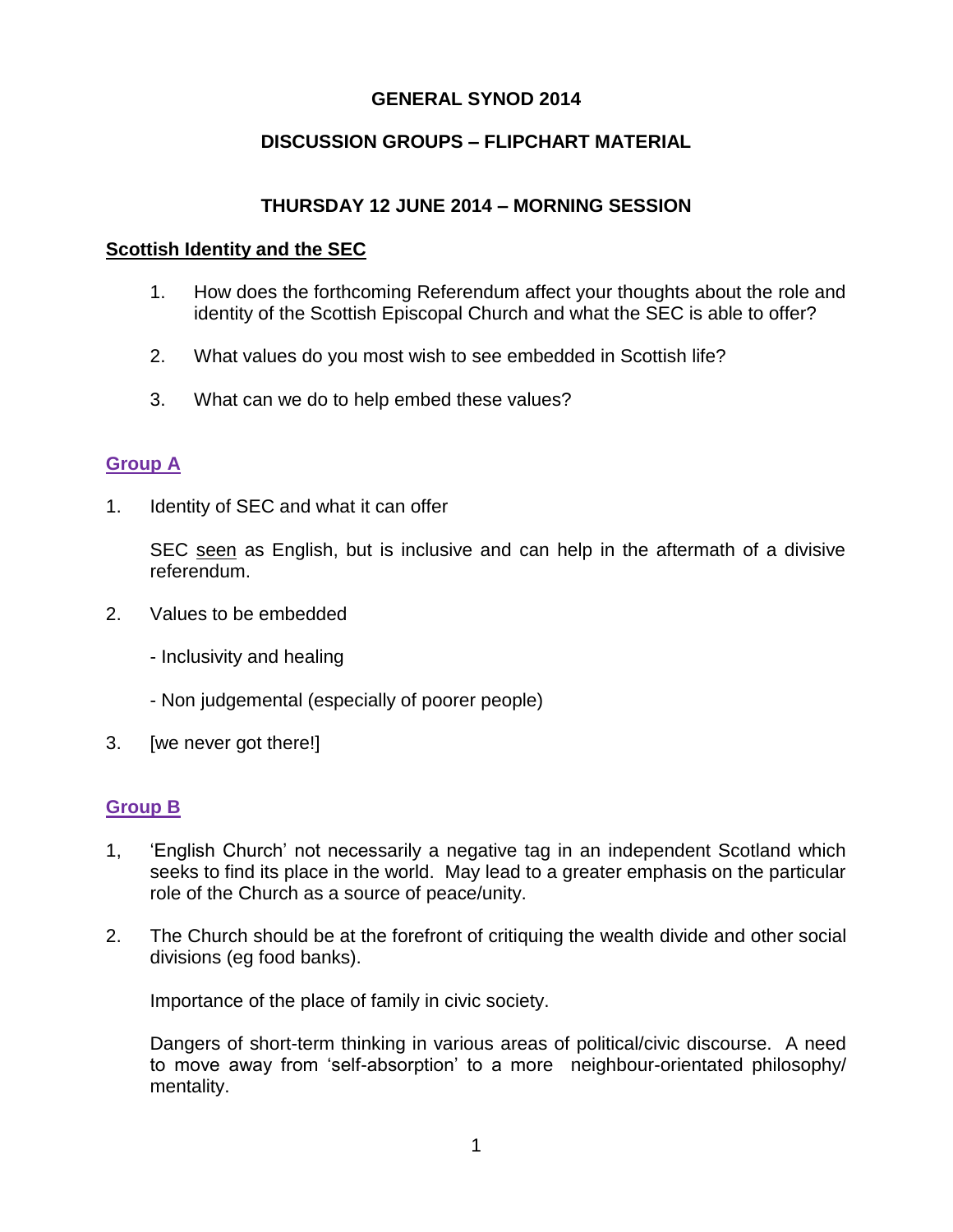### **GENERAL SYNOD 2014**

### **DISCUSSION GROUPS – FLIPCHART MATERIAL**

### **THURSDAY 12 JUNE 2014 – MORNING SESSION**

#### **Scottish Identity and the SEC**

- 1. How does the forthcoming Referendum affect your thoughts about the role and identity of the Scottish Episcopal Church and what the SEC is able to offer?
- 2. What values do you most wish to see embedded in Scottish life?
- 3. What can we do to help embed these values?

### **Group A**

1. Identity of SEC and what it can offer

SEC seen as English, but is inclusive and can help in the aftermath of a divisive referendum.

- 2. Values to be embedded
	- Inclusivity and healing
	- Non judgemental (especially of poorer people)
- 3. [we never got there!]

#### **Group B**

- 1, 'English Church' not necessarily a negative tag in an independent Scotland which seeks to find its place in the world. May lead to a greater emphasis on the particular role of the Church as a source of peace/unity.
- 2. The Church should be at the forefront of critiquing the wealth divide and other social divisions (eg food banks).

Importance of the place of family in civic society.

Dangers of short-term thinking in various areas of political/civic discourse. A need to move away from 'self-absorption' to a more neighbour-orientated philosophy/ mentality.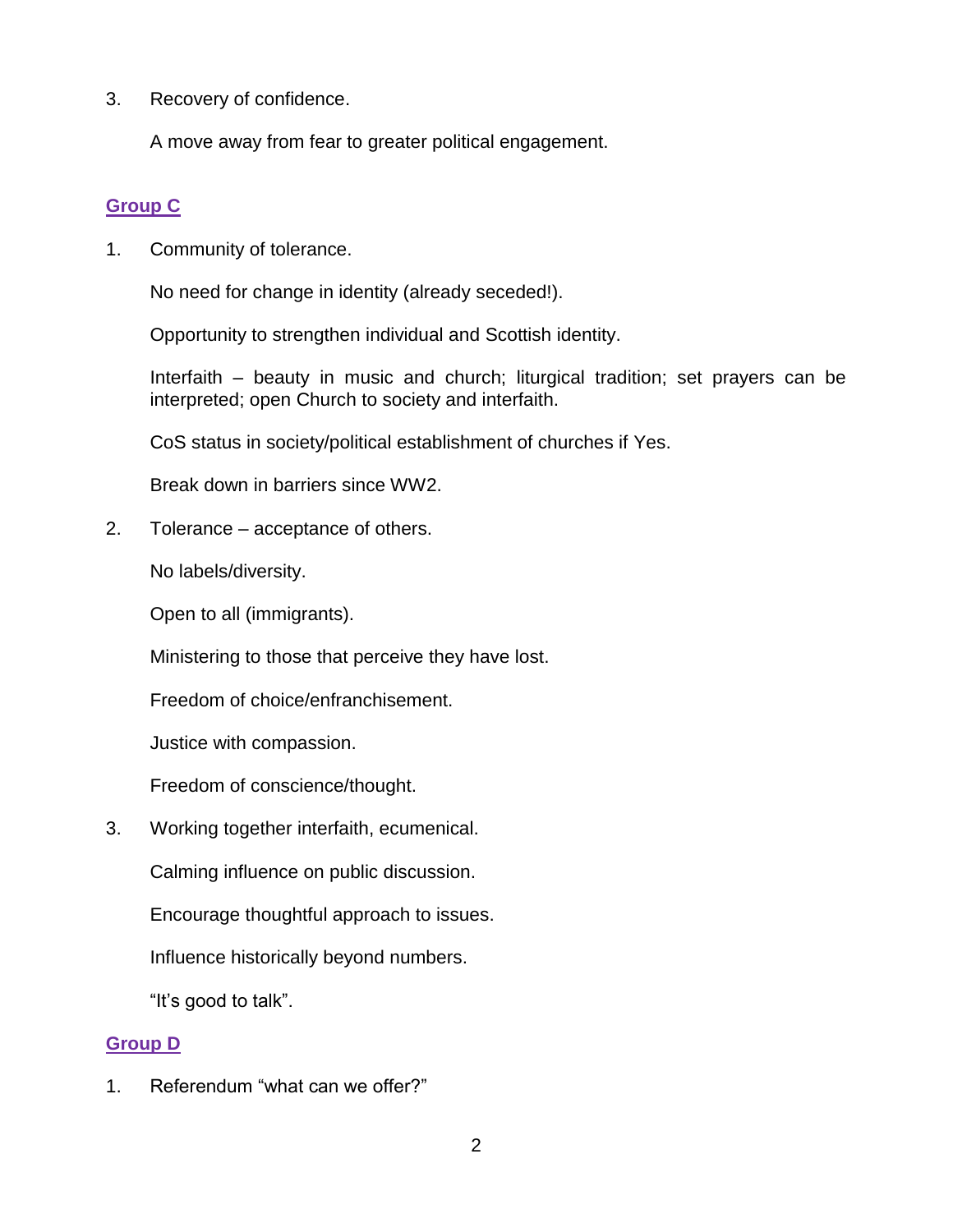3. Recovery of confidence.

A move away from fear to greater political engagement.

## **Group C**

1. Community of tolerance.

No need for change in identity (already seceded!).

Opportunity to strengthen individual and Scottish identity.

Interfaith – beauty in music and church; liturgical tradition; set prayers can be interpreted; open Church to society and interfaith.

CoS status in society/political establishment of churches if Yes.

Break down in barriers since WW2.

2. Tolerance – acceptance of others.

No labels/diversity.

Open to all (immigrants).

Ministering to those that perceive they have lost.

Freedom of choice/enfranchisement.

Justice with compassion.

Freedom of conscience/thought.

3. Working together interfaith, ecumenical.

Calming influence on public discussion.

Encourage thoughtful approach to issues.

Influence historically beyond numbers.

"It's good to talk".

## **Group D**

1. Referendum "what can we offer?"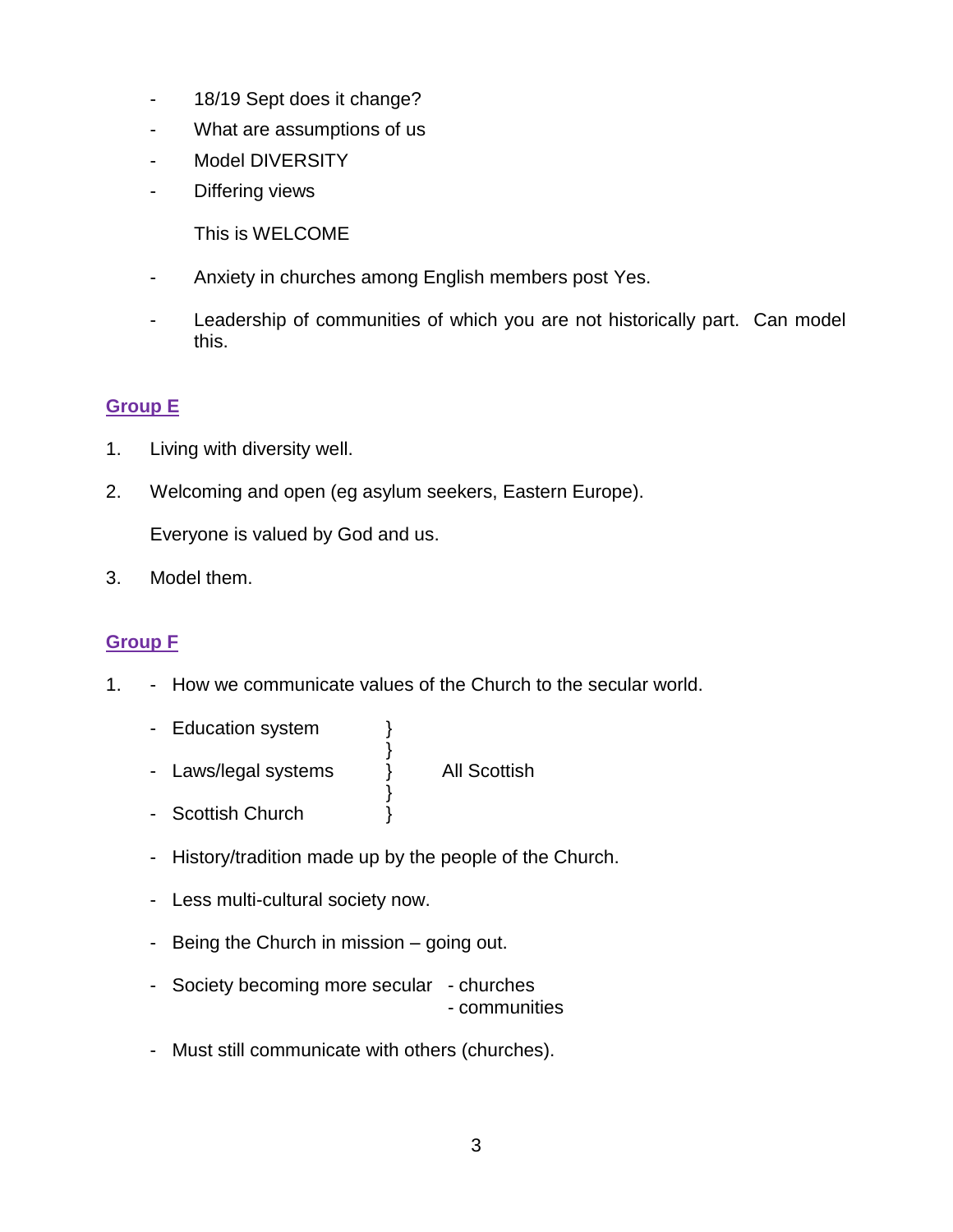- 18/19 Sept does it change?
- What are assumptions of us
- Model DIVERSITY
- Differing views
	- This is WELCOME
- Anxiety in churches among English members post Yes.
- Leadership of communities of which you are not historically part. Can model this.

## **Group E**

- 1. Living with diversity well.
- 2. Welcoming and open (eg asylum seekers, Eastern Europe).

Everyone is valued by God and us.

3. Model them.

## **Group F**

- 1. How we communicate values of the Church to the secular world.
	- Education system }
	- } - Laws/legal systems } All Scottish

- Scottish Church }
- History/tradition made up by the people of the Church.

}

- Less multi-cultural society now.
- Being the Church in mission going out.
- Society becoming more secular churches - communities
- Must still communicate with others (churches).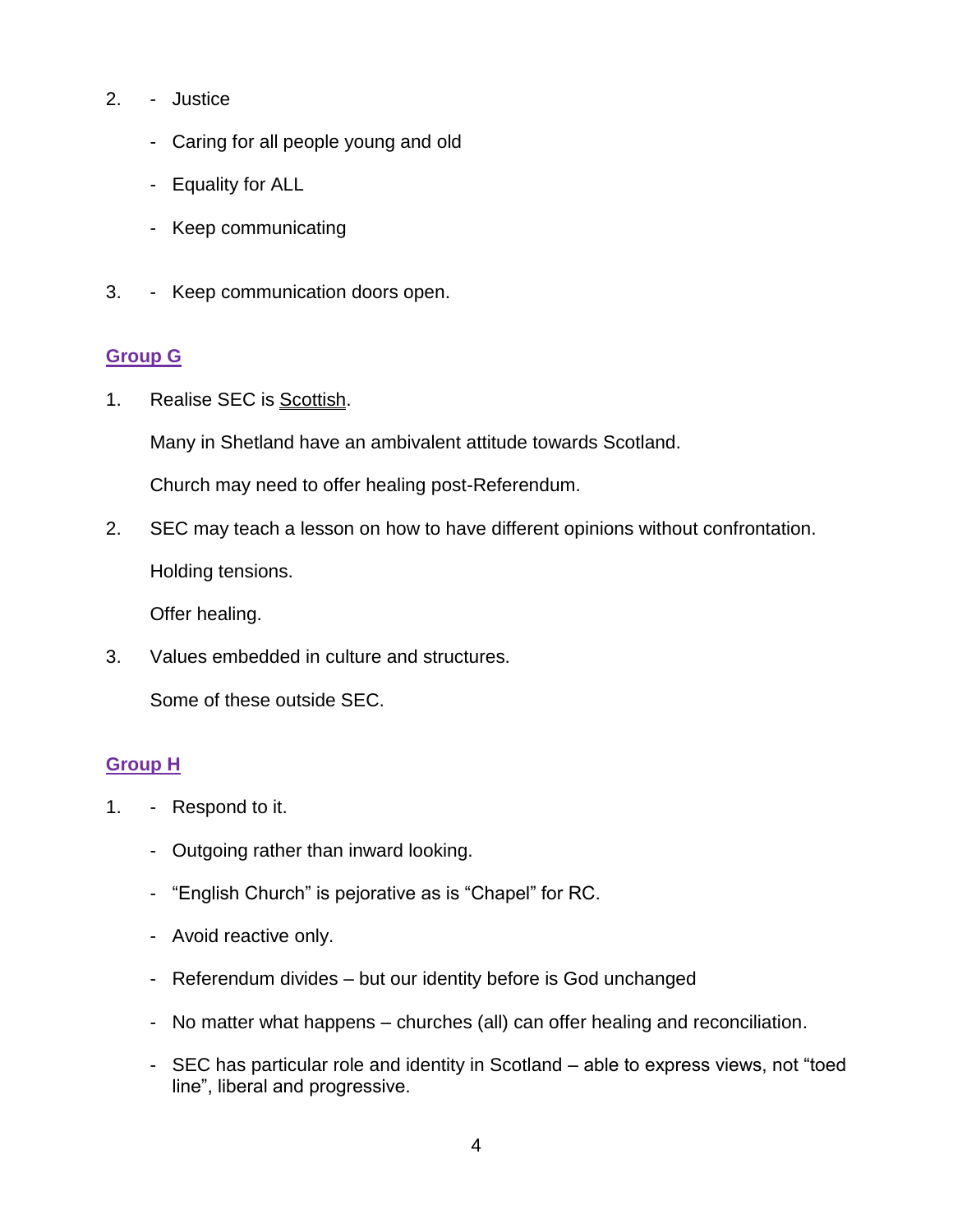- 2. Justice
	- Caring for all people young and old
	- Equality for ALL
	- Keep communicating
- 3. Keep communication doors open.

## **Group G**

1. Realise SEC is Scottish.

Many in Shetland have an ambivalent attitude towards Scotland.

Church may need to offer healing post-Referendum.

2. SEC may teach a lesson on how to have different opinions without confrontation.

Holding tensions.

Offer healing.

3. Values embedded in culture and structures.

Some of these outside SEC.

# **Group H**

- 1. Respond to it.
	- Outgoing rather than inward looking.
	- "English Church" is pejorative as is "Chapel" for RC.
	- Avoid reactive only.
	- Referendum divides but our identity before is God unchanged
	- No matter what happens churches (all) can offer healing and reconciliation.
	- SEC has particular role and identity in Scotland able to express views, not "toed line", liberal and progressive.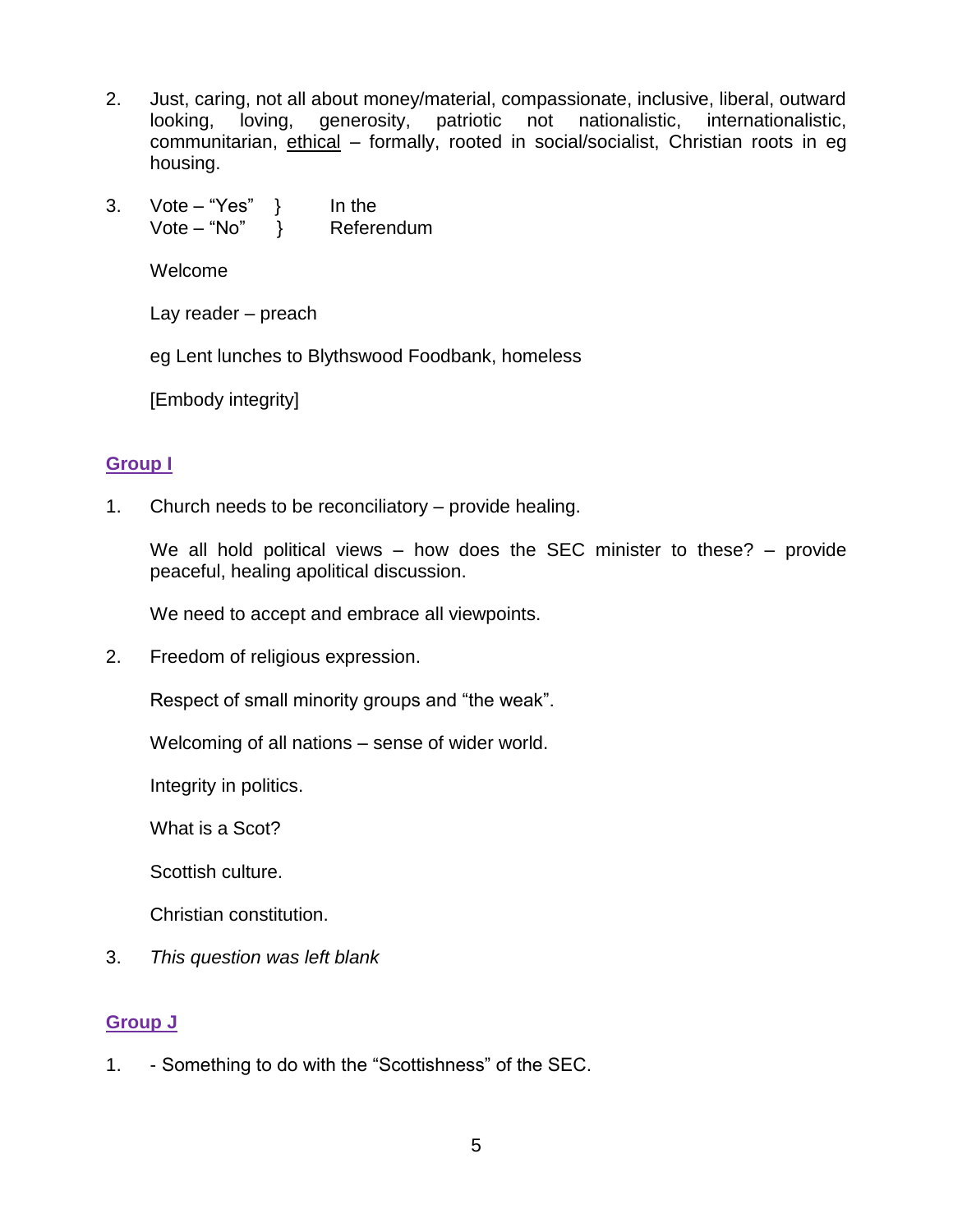- 2. Just, caring, not all about money/material, compassionate, inclusive, liberal, outward looking, loving, generosity, patriotic not nationalistic, internationalistic, communitarian, ethical – formally, rooted in social/socialist, Christian roots in eg housing.
- 3. Vote "Yes" } In the Vote – "No" } Referendum

Welcome

Lay reader – preach

eg Lent lunches to Blythswood Foodbank, homeless

[Embody integrity]

## **Group I**

1. Church needs to be reconciliatory – provide healing.

We all hold political views – how does the SEC minister to these? – provide peaceful, healing apolitical discussion.

We need to accept and embrace all viewpoints.

2. Freedom of religious expression.

Respect of small minority groups and "the weak".

Welcoming of all nations – sense of wider world.

Integrity in politics.

What is a Scot?

Scottish culture.

Christian constitution.

3. *This question was left blank*

# **Group J**

1. - Something to do with the "Scottishness" of the SEC.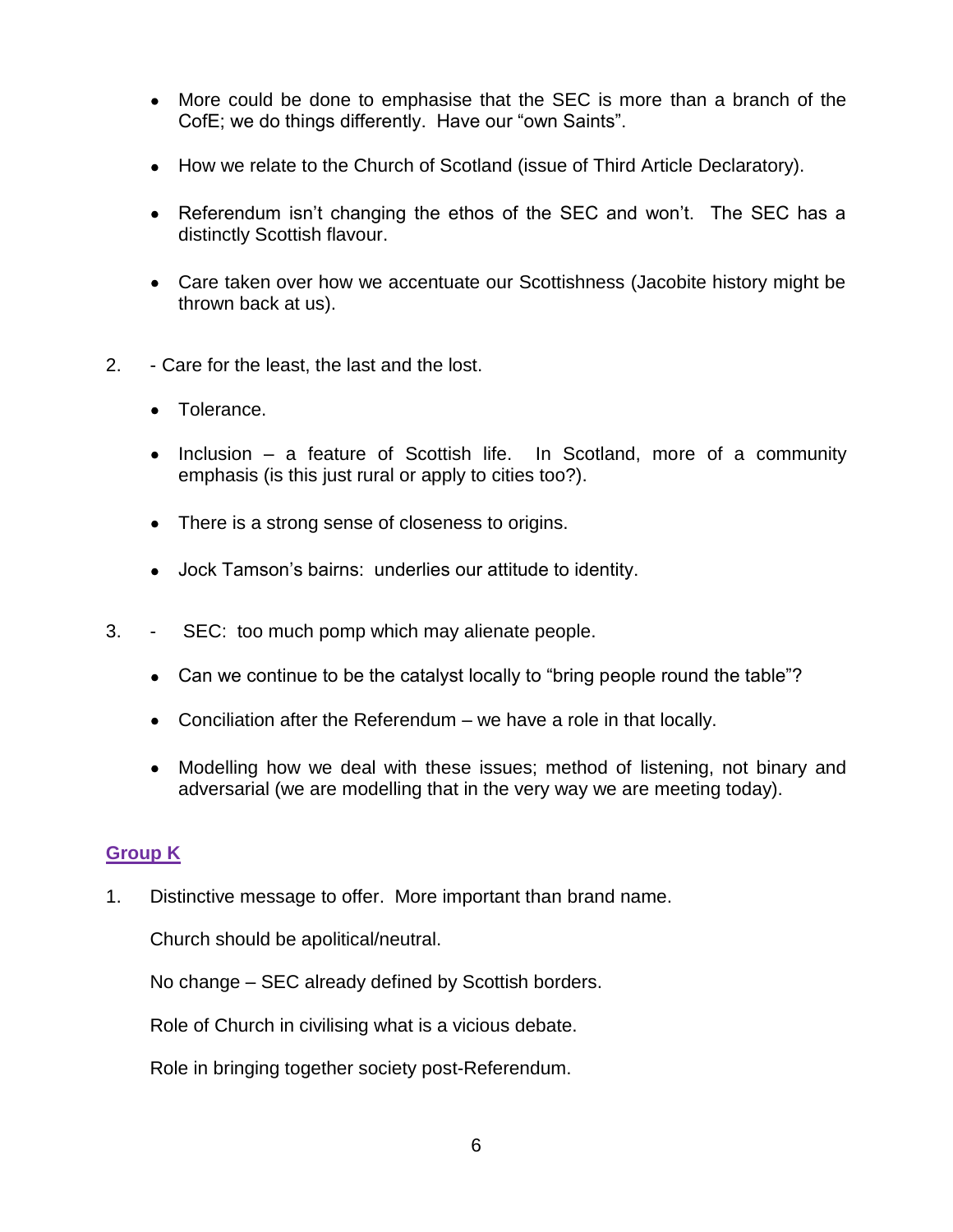- More could be done to emphasise that the SEC is more than a branch of the CofE; we do things differently. Have our "own Saints".
- How we relate to the Church of Scotland (issue of Third Article Declaratory).
- Referendum isn't changing the ethos of the SEC and won't. The SEC has a distinctly Scottish flavour.
- Care taken over how we accentuate our Scottishness (Jacobite history might be thrown back at us).
- 2. Care for the least, the last and the lost.
	- Tolerance.
	- Inclusion a feature of Scottish life. In Scotland, more of a community emphasis (is this just rural or apply to cities too?).
	- There is a strong sense of closeness to origins.
	- Jock Tamson's bairns: underlies our attitude to identity.
- 3. SEC: too much pomp which may alienate people.
	- Can we continue to be the catalyst locally to "bring people round the table"?
	- Conciliation after the Referendum we have a role in that locally.
	- Modelling how we deal with these issues; method of listening, not binary and adversarial (we are modelling that in the very way we are meeting today).

#### **Group K**

1. Distinctive message to offer. More important than brand name.

Church should be apolitical/neutral.

No change – SEC already defined by Scottish borders.

Role of Church in civilising what is a vicious debate.

Role in bringing together society post-Referendum.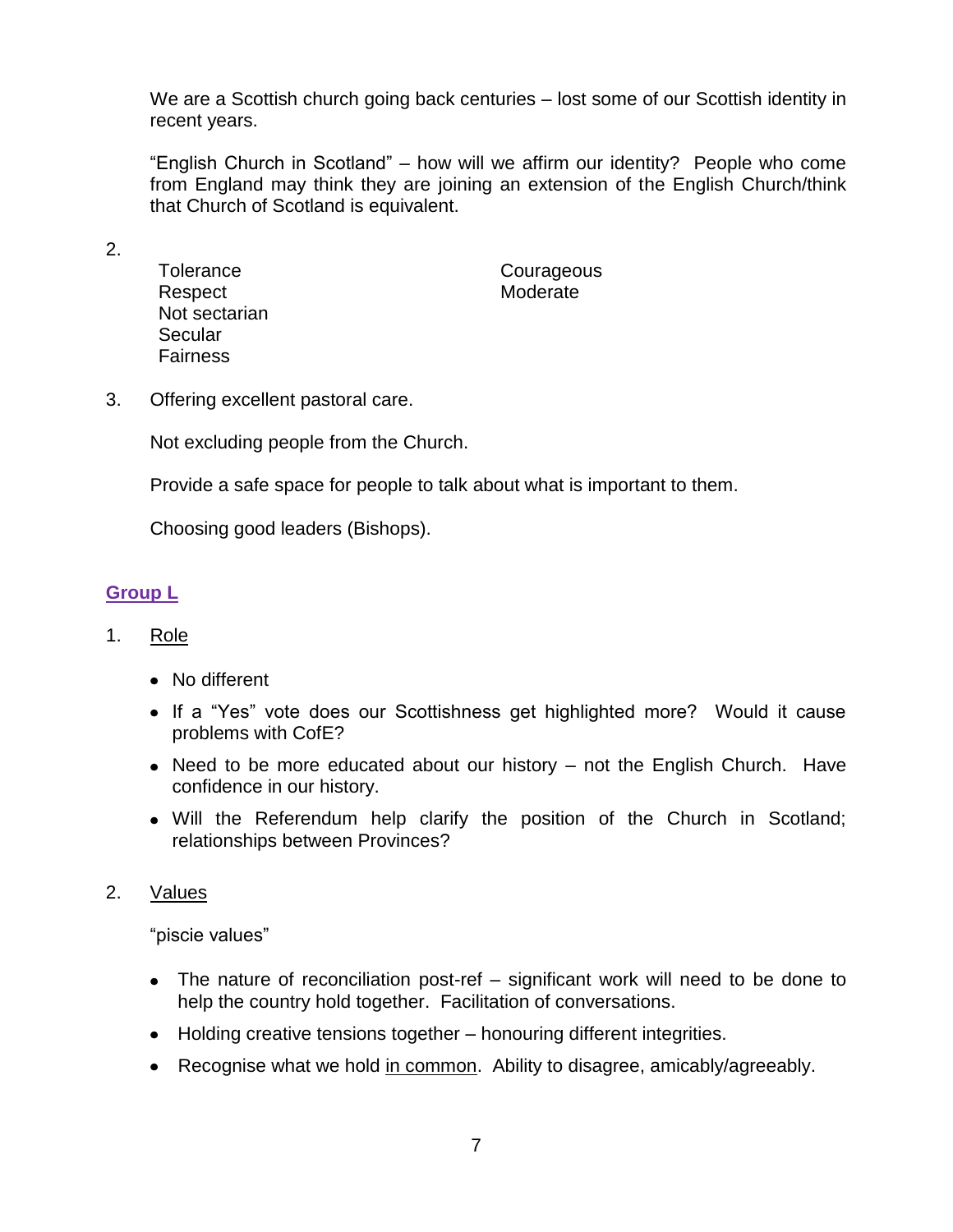We are a Scottish church going back centuries – lost some of our Scottish identity in recent years.

"English Church in Scotland" – how will we affirm our identity? People who come from England may think they are joining an extension of the English Church/think that Church of Scotland is equivalent.

2.

**Tolerance** Respect Not sectarian **Secular** Fairness

**Courageous** Moderate

3. Offering excellent pastoral care.

Not excluding people from the Church.

Provide a safe space for people to talk about what is important to them.

Choosing good leaders (Bishops).

## **Group L**

- 1. Role
	- No different
	- If a "Yes" vote does our Scottishness get highlighted more? Would it cause problems with CofE?
	- Need to be more educated about our history not the English Church. Have confidence in our history.
	- Will the Referendum help clarify the position of the Church in Scotland; relationships between Provinces?
- 2. Values

"piscie values"

- The nature of reconciliation post-ref significant work will need to be done to help the country hold together. Facilitation of conversations.
- Holding creative tensions together honouring different integrities.
- Recognise what we hold in common. Ability to disagree, amicably/agreeably.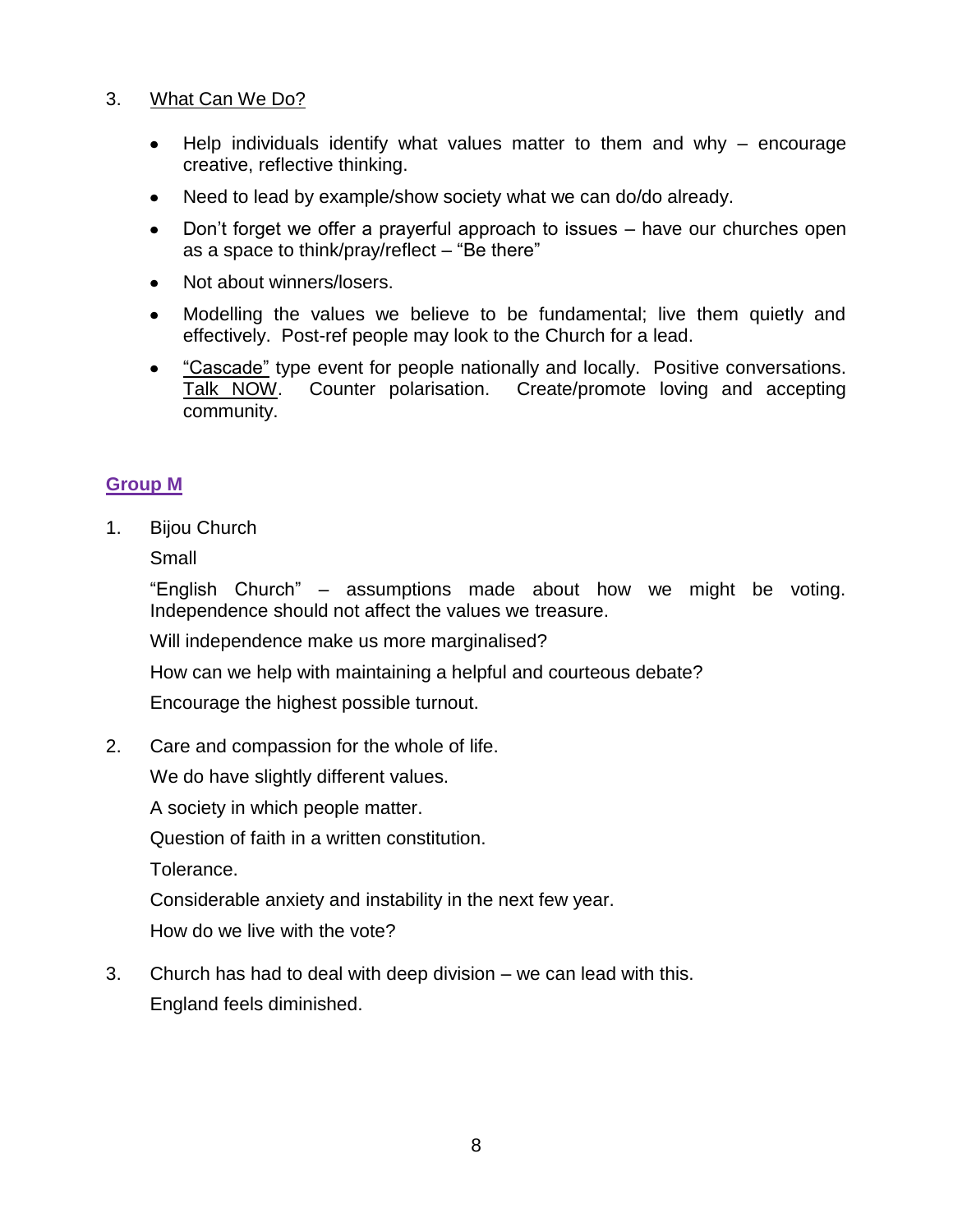### 3. What Can We Do?

- Help individuals identify what values matter to them and why  $-$  encourage  $\bullet$ creative, reflective thinking.
- Need to lead by example/show society what we can do/do already.
- Don't forget we offer a prayerful approach to issues have our churches open  $\bullet$ as a space to think/pray/reflect – "Be there"
- Not about winners/losers.
- Modelling the values we believe to be fundamental; live them quietly and effectively. Post-ref people may look to the Church for a lead.
- "Cascade" type event for people nationally and locally. Positive conversations. Talk NOW. Counter polarisation. Create/promote loving and accepting community.

### **Group M**

1. Bijou Church

Small

"English Church" – assumptions made about how we might be voting. Independence should not affect the values we treasure.

Will independence make us more marginalised?

How can we help with maintaining a helpful and courteous debate?

Encourage the highest possible turnout.

2. Care and compassion for the whole of life.

We do have slightly different values.

A society in which people matter.

Question of faith in a written constitution.

Tolerance.

Considerable anxiety and instability in the next few year.

How do we live with the vote?

3. Church has had to deal with deep division – we can lead with this. England feels diminished.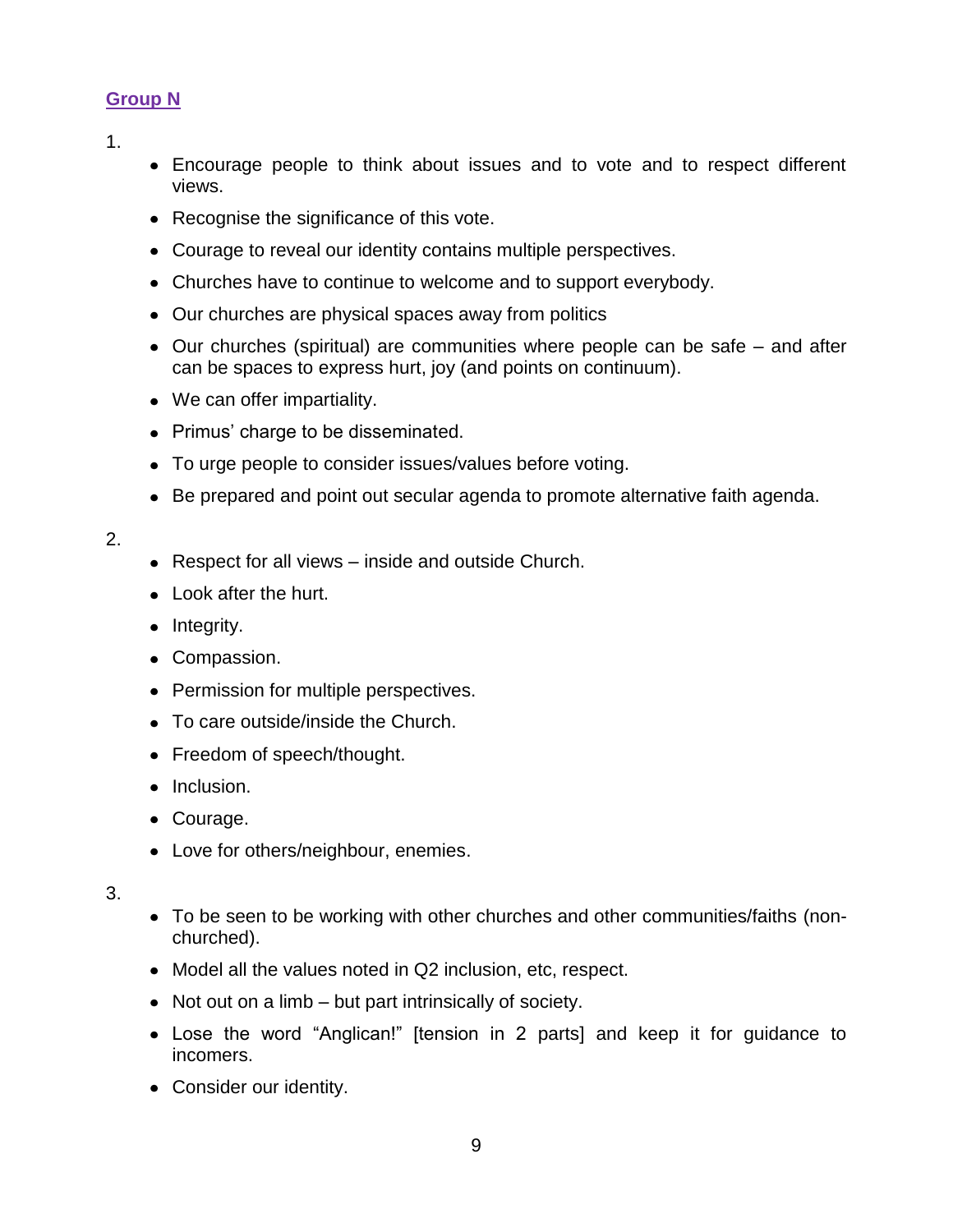## **Group N**

1.

- Encourage people to think about issues and to vote and to respect different views.
- Recognise the significance of this vote.
- Courage to reveal our identity contains multiple perspectives.
- Churches have to continue to welcome and to support everybody.
- Our churches are physical spaces away from politics
- Our churches (spiritual) are communities where people can be safe and after can be spaces to express hurt, joy (and points on continuum).
- We can offer impartiality.
- Primus' charge to be disseminated.
- To urge people to consider issues/values before voting.
- Be prepared and point out secular agenda to promote alternative faith agenda.

### 2.

- Respect for all views inside and outside Church.
- Look after the hurt.
- $\bullet$  Integrity.
- Compassion.
- Permission for multiple perspectives.
- To care outside/inside the Church.
- Freedom of speech/thought.
- Inclusion.
- Courage.
- Love for others/neighbour, enemies.

- To be seen to be working with other churches and other communities/faiths (nonchurched).
- Model all the values noted in Q2 inclusion, etc, respect.
- Not out on a limb but part intrinsically of society.
- Lose the word "Anglican!" [tension in 2 parts] and keep it for guidance to incomers.
- Consider our identity.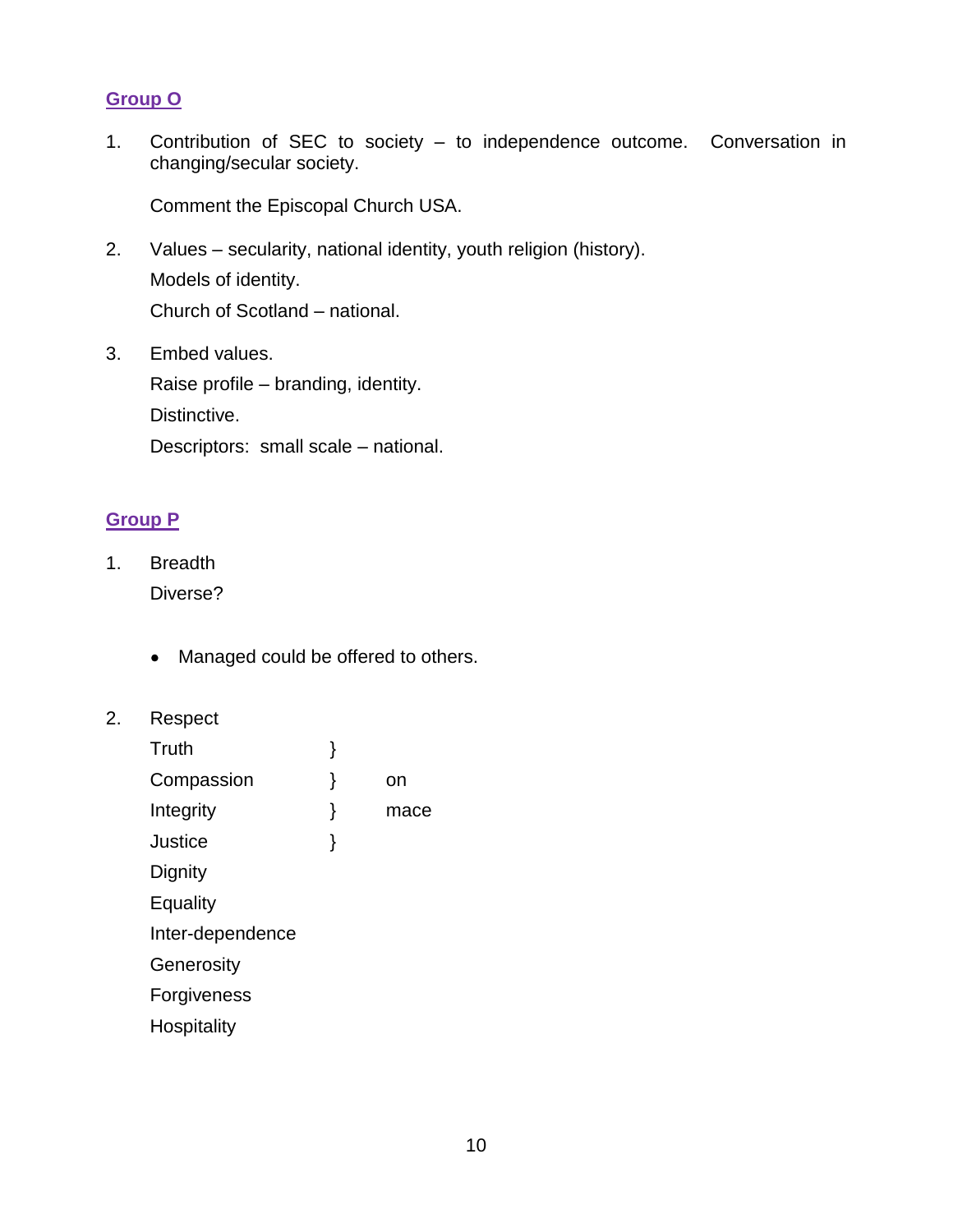## **Group O**

1. Contribution of SEC to society – to independence outcome. Conversation in changing/secular society.

Comment the Episcopal Church USA.

2. Values – secularity, national identity, youth religion (history). Models of identity. Church of Scotland – national.

3. Embed values. Raise profile – branding, identity. Distinctive. Descriptors: small scale – national.

## **Group P**

- 1. Breadth Diverse?
	- Managed could be offered to others.
- 2. Respect

| Truth            | } |      |
|------------------|---|------|
| Compassion       | ł | on   |
| Integrity        | ł | mace |
| Justice          | ł |      |
| Dignity          |   |      |
| Equality         |   |      |
| Inter-dependence |   |      |
| Generosity       |   |      |
| Forgiveness      |   |      |
| Hospitality      |   |      |
|                  |   |      |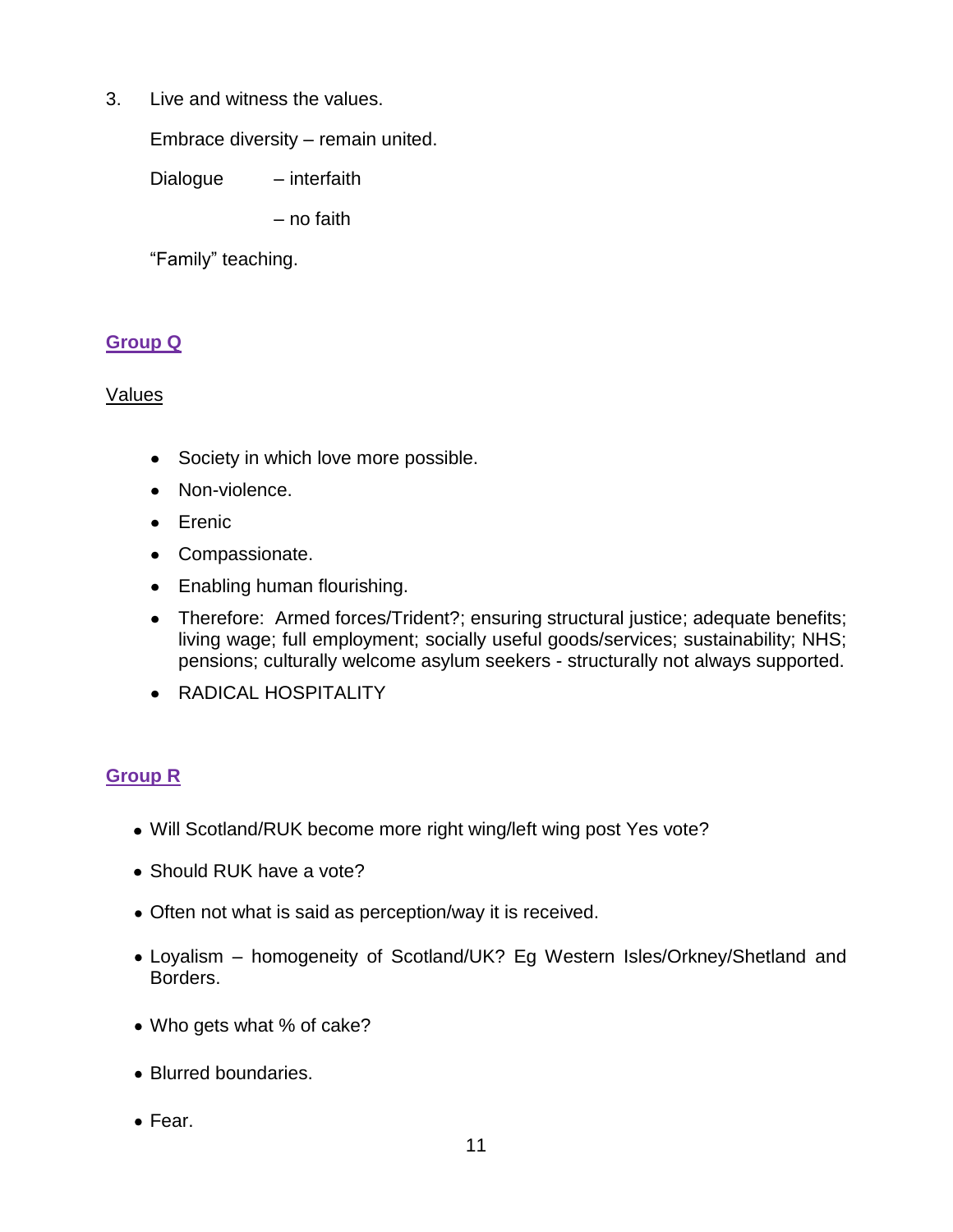3. Live and witness the values.

Embrace diversity – remain united.

Dialogue – interfaith

– no faith

"Family" teaching.

## **Group Q**

### Values

- Society in which love more possible.
- Non-violence.
- **•** Erenic
- Compassionate.
- Enabling human flourishing.  $\bullet$
- Therefore: Armed forces/Trident?; ensuring structural justice; adequate benefits;  $\bullet$ living wage; full employment; socially useful goods/services; sustainability; NHS; pensions; culturally welcome asylum seekers - structurally not always supported.
- RADICAL HOSPITALITY

# **Group R**

- Will Scotland/RUK become more right wing/left wing post Yes vote?
- Should RUK have a vote?
- Often not what is said as perception/way it is received.
- Loyalism homogeneity of Scotland/UK? Eg Western Isles/Orkney/Shetland and Borders.
- Who gets what % of cake?
- Blurred boundaries.
- Fear.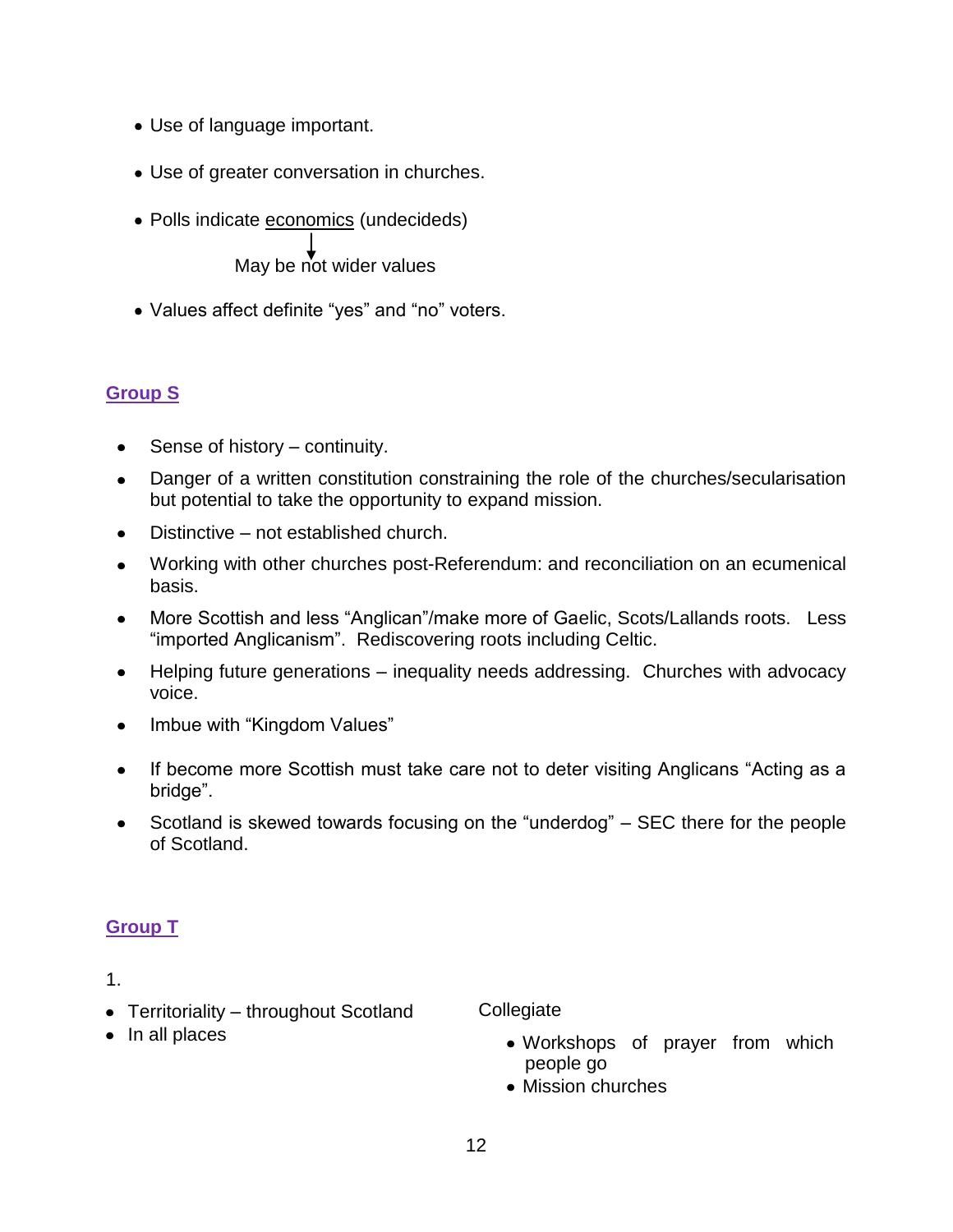- Use of language important.
- Use of greater conversation in churches.
- Polls indicate economics (undecideds)

May be not wider values

Values affect definite "yes" and "no" voters.

## **Group S**

- Sense of history continuity.  $\bullet$
- Danger of a written constitution constraining the role of the churches/secularisation  $\bullet$ but potential to take the opportunity to expand mission.
- Distinctive not established church.  $\bullet$
- Working with other churches post-Referendum: and reconciliation on an ecumenical  $\bullet$ basis.
- $\bullet$ More Scottish and less "Anglican"/make more of Gaelic, Scots/Lallands roots. Less "imported Anglicanism". Rediscovering roots including Celtic.
- Helping future generations inequality needs addressing. Churches with advocacy  $\bullet$ voice.
- Imbue with "Kingdom Values"
- $\bullet$ If become more Scottish must take care not to deter visiting Anglicans "Acting as a bridge".
- Scotland is skewed towards focusing on the "underdog" SEC there for the people  $\bullet$ of Scotland.

# **Group T**

#### 1.

• Territoriality – throughout Scotland

**Collegiate** 

• In all places

- Workshops of prayer from which people go
- Mission churches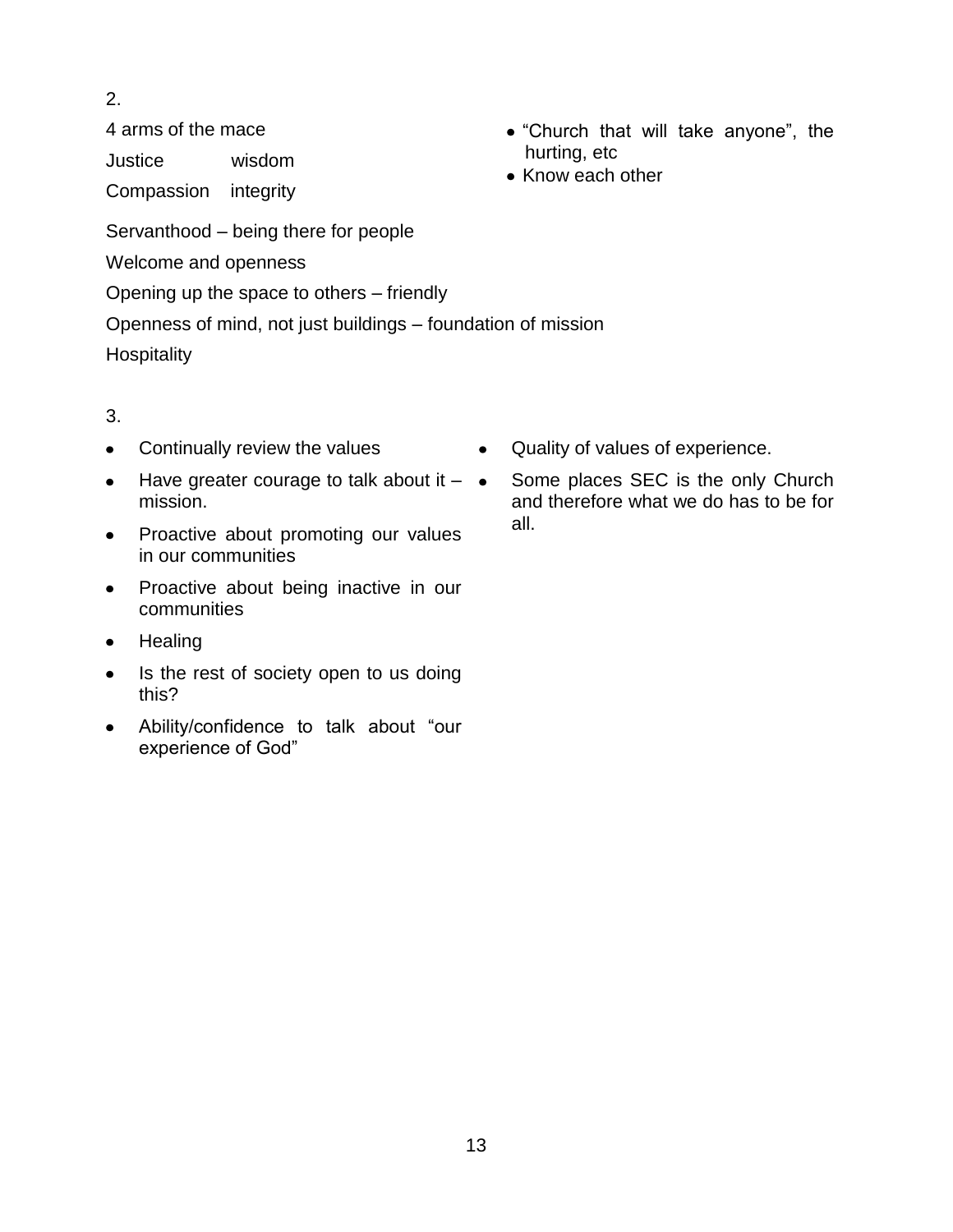2.

4 arms of the mace

Justice wisdom

Compassion integrity

- "Church that will take anyone", the hurting, etc
- Know each other

Servanthood – being there for people

Welcome and openness

Opening up the space to others – friendly

Openness of mind, not just buildings – foundation of mission

**Hospitality** 

- Continually review the values  $\bullet$
- Have greater courage to talk about it  $\bullet$  $\bullet$ mission.
- Proactive about promoting our values  $\bullet$ in our communities
- Proactive about being inactive in our  $\bullet$ communities
- **Healing**  $\bullet$
- Is the rest of society open to us doing  $\bullet$ this?
- Ability/confidence to talk about "our  $\bullet$ experience of God"
- Quality of values of experience.  $\bullet$
- Some places SEC is the only Church and therefore what we do has to be for all.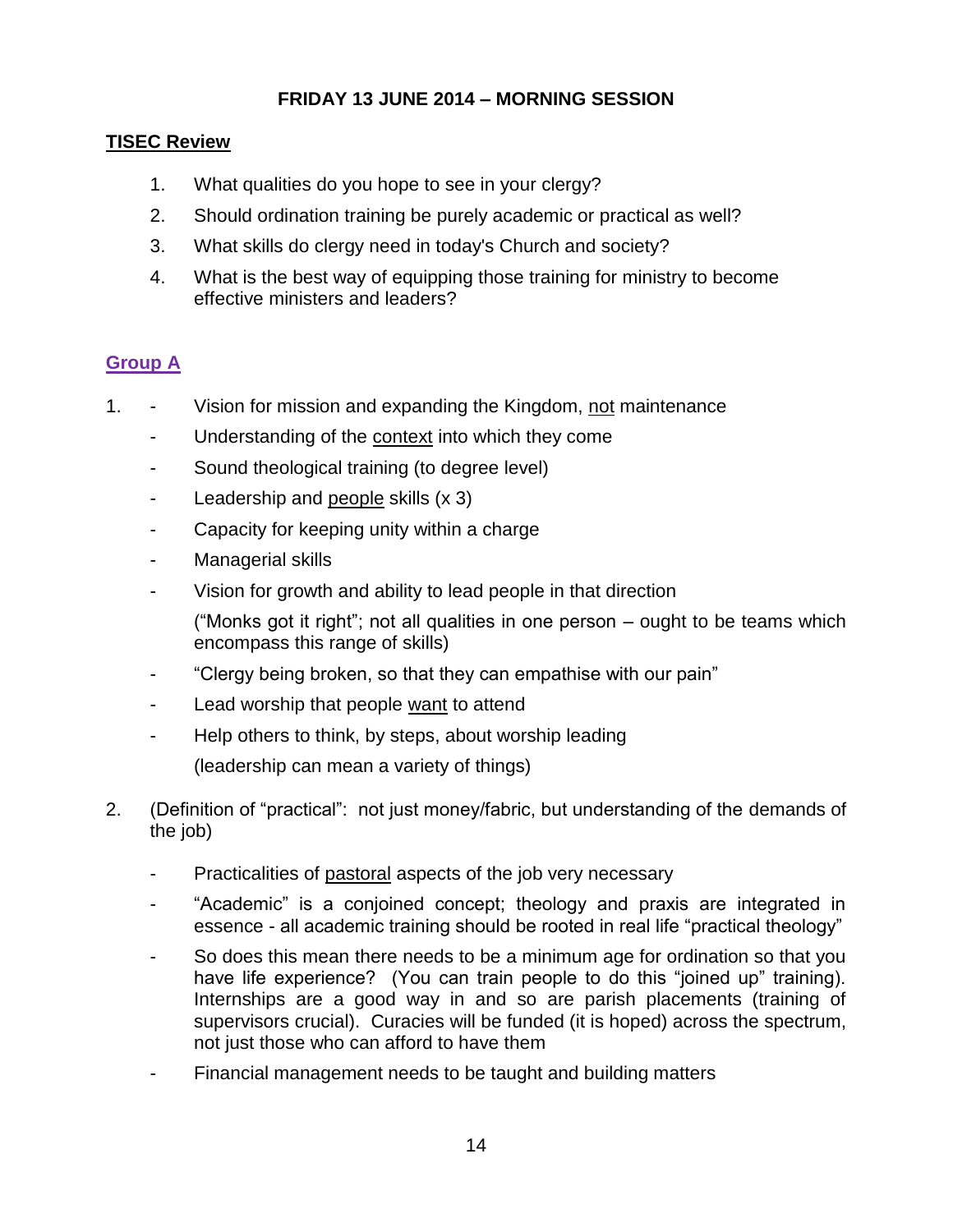## **FRIDAY 13 JUNE 2014 – MORNING SESSION**

### **TISEC Review**

- 1. What qualities do you hope to see in your clergy?
- 2. Should ordination training be purely academic or practical as well?
- 3. What skills do clergy need in today's Church and society?
- 4. What is the best way of equipping those training for ministry to become effective ministers and leaders?

## **Group A**

- 1. Vision for mission and expanding the Kingdom, not maintenance
	- Understanding of the context into which they come
	- Sound theological training (to degree level)
	- Leadership and people skills (x 3)
	- Capacity for keeping unity within a charge
	- Managerial skills
	- Vision for growth and ability to lead people in that direction
		- ("Monks got it right"; not all qualities in one person ought to be teams which encompass this range of skills)
	- "Clergy being broken, so that they can empathise with our pain"
	- Lead worship that people want to attend
	- Help others to think, by steps, about worship leading
		- (leadership can mean a variety of things)
- 2. (Definition of "practical": not just money/fabric, but understanding of the demands of the job)
	- Practicalities of pastoral aspects of the job very necessary
	- "Academic" is a conjoined concept; theology and praxis are integrated in essence - all academic training should be rooted in real life "practical theology"
	- So does this mean there needs to be a minimum age for ordination so that you have life experience? (You can train people to do this "joined up" training). Internships are a good way in and so are parish placements (training of supervisors crucial). Curacies will be funded (it is hoped) across the spectrum, not just those who can afford to have them
	- Financial management needs to be taught and building matters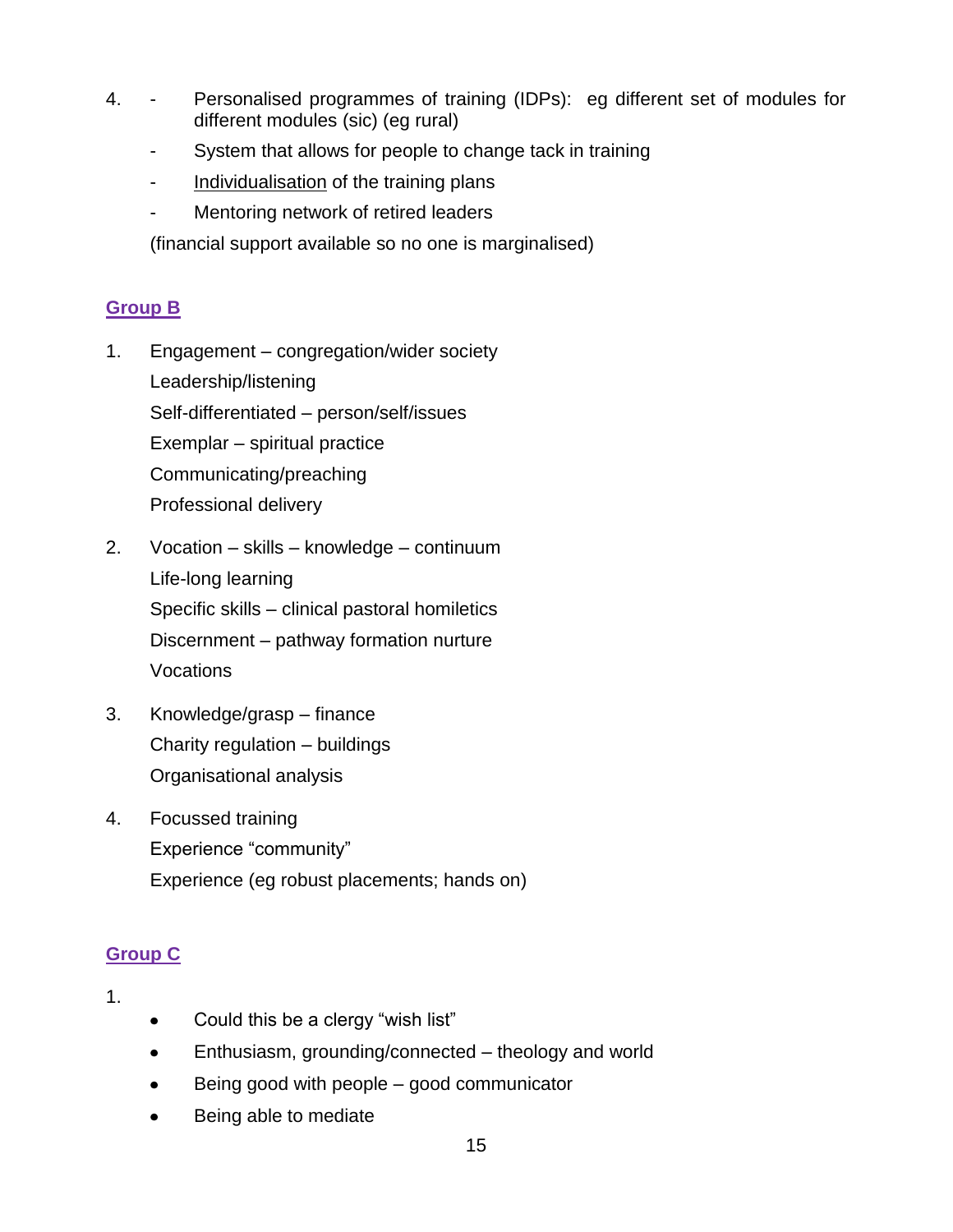- 4. Personalised programmes of training (IDPs): eg different set of modules for different modules (sic) (eg rural)
	- System that allows for people to change tack in training
	- Individualisation of the training plans
	- Mentoring network of retired leaders

(financial support available so no one is marginalised)

# **Group B**

- 1. Engagement congregation/wider society Leadership/listening Self-differentiated – person/self/issues Exemplar – spiritual practice Communicating/preaching Professional delivery
- 2. Vocation skills knowledge continuum Life-long learning Specific skills – clinical pastoral homiletics Discernment – pathway formation nurture Vocations
- 3. Knowledge/grasp finance Charity regulation – buildings Organisational analysis
- 4. Focussed training Experience "community" Experience (eg robust placements; hands on)

# **Group C**

- Could this be a clergy "wish list"
- Enthusiasm, grounding/connected theology and world  $\bullet$
- Being good with people good communicator  $\bullet$
- Being able to mediate $\bullet$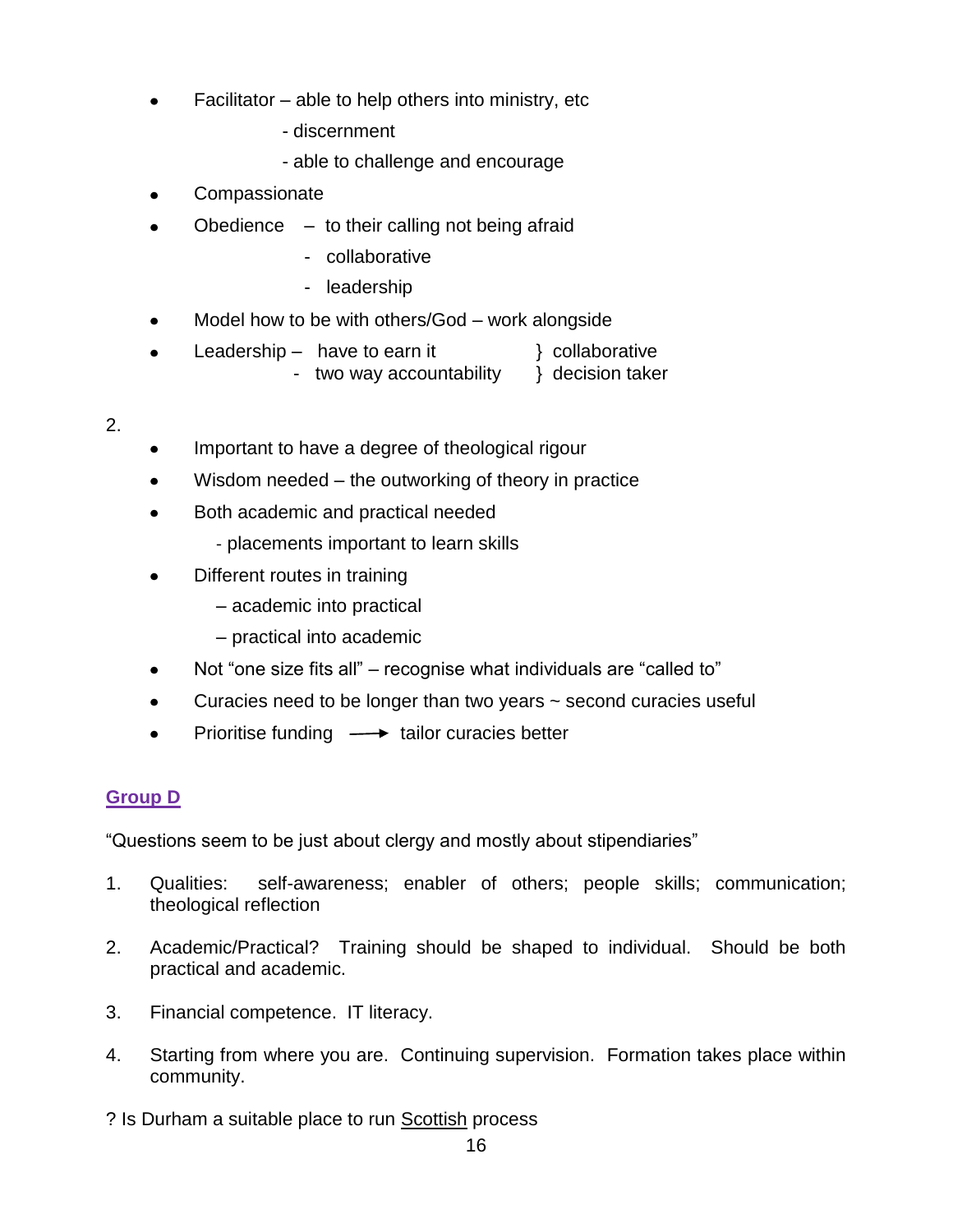- Facilitator able to help others into ministry, etc
	- discernment
	- able to challenge and encourage
- **Compassionate**
- Obedience  $-$  to their calling not being afraid
	- collaborative
	- leadership
- Model how to be with others/God work alongside  $\bullet$
- Leadership  $-$  have to earn it  $\}$  collaborative  $\bullet$ 
	- two way accountability  $\rightarrow$  decision taker

#### 2.

- Important to have a degree of theological rigour
- Wisdom needed the outworking of theory in practice
- Both academic and practical needed
	- placements important to learn skills
- Different routes in training
	- academic into practical
	- practical into academic
- Not "one size fits all" recognise what individuals are "called to"  $\bullet$
- Curacies need to be longer than two years ~ second curacies useful  $\bullet$
- Prioritise funding  $\longrightarrow$  tailor curacies better  $\bullet$

## **Group D**

"Questions seem to be just about clergy and mostly about stipendiaries"

- 1. Qualities: self-awareness; enabler of others; people skills; communication; theological reflection
- 2. Academic/Practical? Training should be shaped to individual. Should be both practical and academic.
- 3. Financial competence. IT literacy.
- 4. Starting from where you are. Continuing supervision. Formation takes place within community.
- ? Is Durham a suitable place to run Scottish process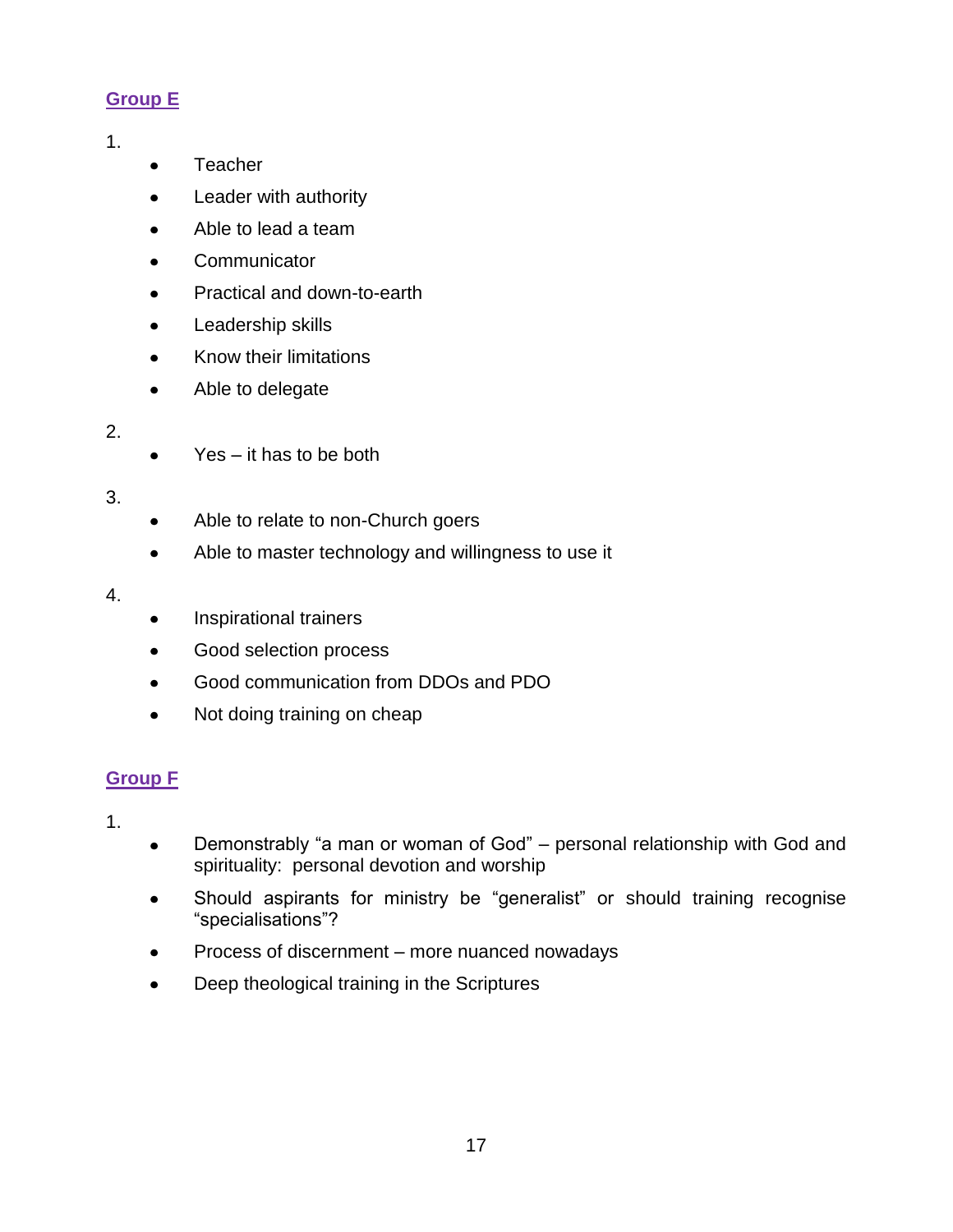# **Group E**

## 1.

- **Teacher**  $\bullet$
- Leader with authority  $\bullet$
- Able to lead a team  $\bullet$
- **Communicator**  $\bullet$
- Practical and down-to-earth  $\bullet$
- Leadership skills  $\bullet$
- $\bullet$ Know their limitations
- Able to delegate  $\bullet$

## 2.

Yes – it has to be both  $\bullet$ 

# 3.

- Able to relate to non-Church goers  $\bullet$
- Able to master technology and willingness to use it  $\bullet$

## 4.

- Inspirational trainers  $\bullet$
- Good selection process  $\bullet$
- Good communication from DDOs and PDO  $\bullet$
- Not doing training on cheap  $\bullet$

# **Group F**

- Demonstrably "a man or woman of God" personal relationship with God and  $\bullet$ spirituality: personal devotion and worship
- Should aspirants for ministry be "generalist" or should training recognise "specialisations"?
- Process of discernment more nuanced nowadays
- Deep theological training in the Scriptures $\bullet$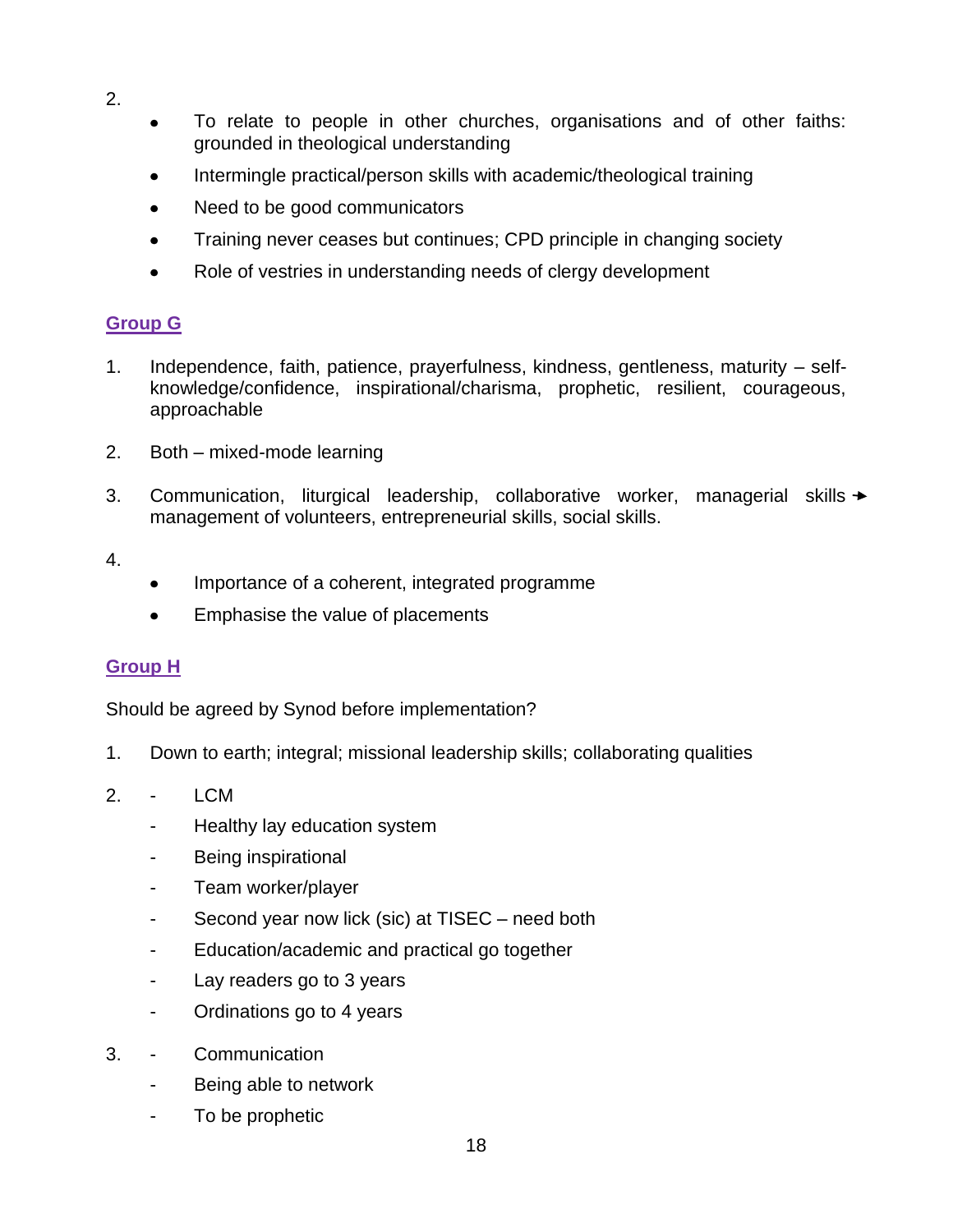- 2.
- To relate to people in other churches, organisations and of other faiths: grounded in theological understanding
- Intermingle practical/person skills with academic/theological training  $\bullet$
- Need to be good communicators  $\bullet$
- Training never ceases but continues; CPD principle in changing society  $\bullet$
- Role of vestries in understanding needs of clergy development  $\bullet$

## **Group G**

- 1. Independence, faith, patience, prayerfulness, kindness, gentleness, maturity selfknowledge/confidence, inspirational/charisma, prophetic, resilient, courageous, approachable
- 2. Both mixed-mode learning
- 3. Communication, liturgical leadership, collaborative worker, managerial skills > management of volunteers, entrepreneurial skills, social skills.

4.

- Importance of a coherent, integrated programme
- Emphasise the value of placements

# **Group H**

Should be agreed by Synod before implementation?

- 1. Down to earth; integral; missional leadership skills; collaborating qualities
- 2. LCM
	- Healthy lay education system
	- Being inspirational
	- Team worker/player
	- Second year now lick (sic) at TISEC need both
	- Education/academic and practical go together
	- Lay readers go to 3 years
	- Ordinations go to 4 years
- 3. Communication
	- Being able to network
	- To be prophetic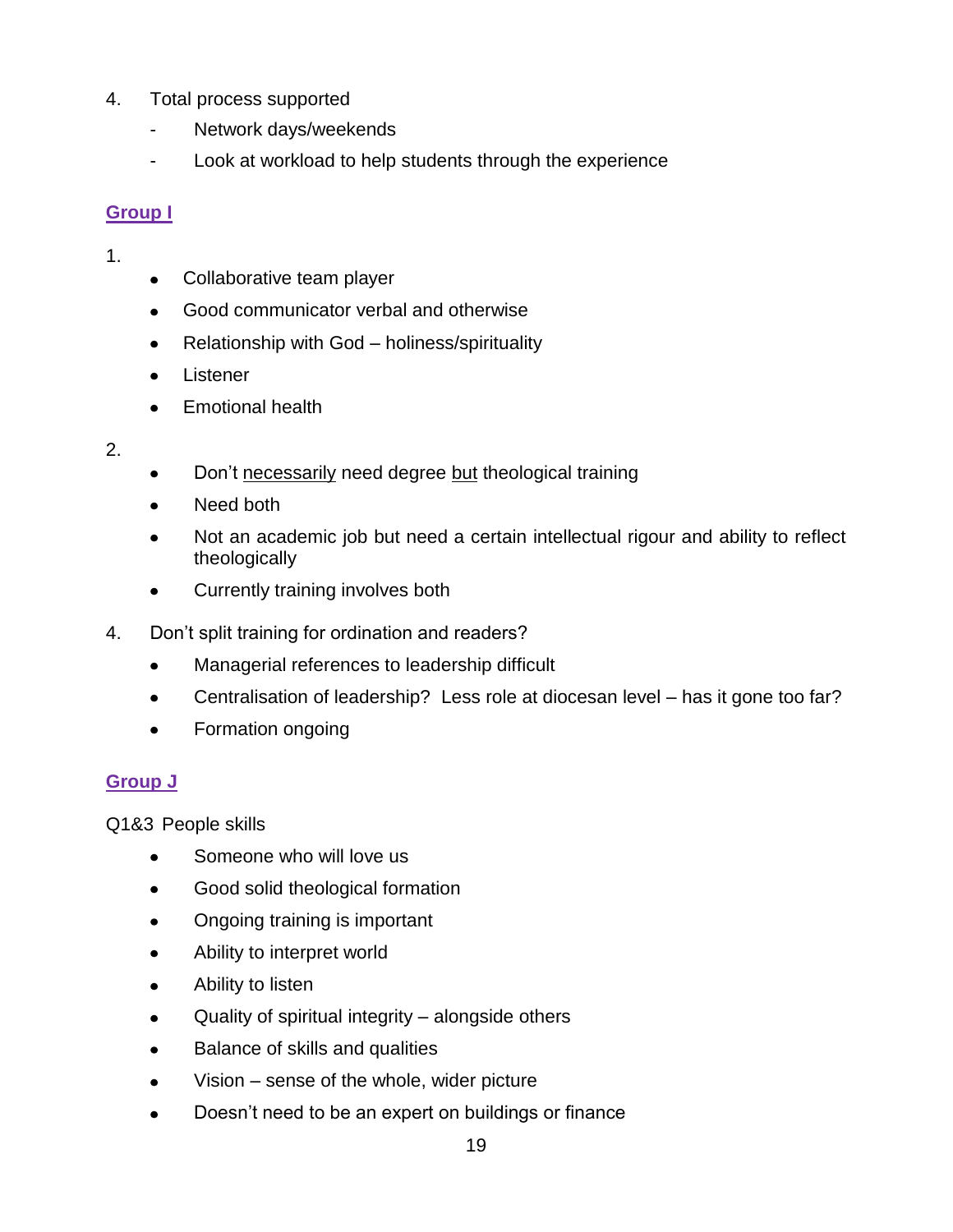- 4. Total process supported
	- Network days/weekends
	- Look at workload to help students through the experience

# **Group I**

- 1.
- Collaborative team player  $\bullet$
- Good communicator verbal and otherwise  $\bullet$
- Relationship with God holiness/spirituality  $\bullet$
- Listener
- Emotional health
- 2.
- Don't necessarily need degree but theological training
- Need both
- Not an academic job but need a certain intellectual rigour and ability to reflect  $\bullet$ theologically
- Currently training involves both  $\bullet$
- 4. Don't split training for ordination and readers?
	- $\bullet$ Managerial references to leadership difficult
	- Centralisation of leadership? Less role at diocesan level has it gone too far?  $\bullet$
	- Formation ongoing  $\bullet$

# **Group J**

Q1&3 People skills

- Someone who will love us  $\bullet$
- Good solid theological formation  $\bullet$
- Ongoing training is important  $\bullet$
- Ability to interpret world  $\bullet$
- Ability to listen  $\bullet$
- Quality of spiritual integrity alongside others  $\bullet$
- Balance of skills and qualities  $\bullet$
- Vision sense of the whole, wider picture  $\bullet$
- Doesn't need to be an expert on buildings or finance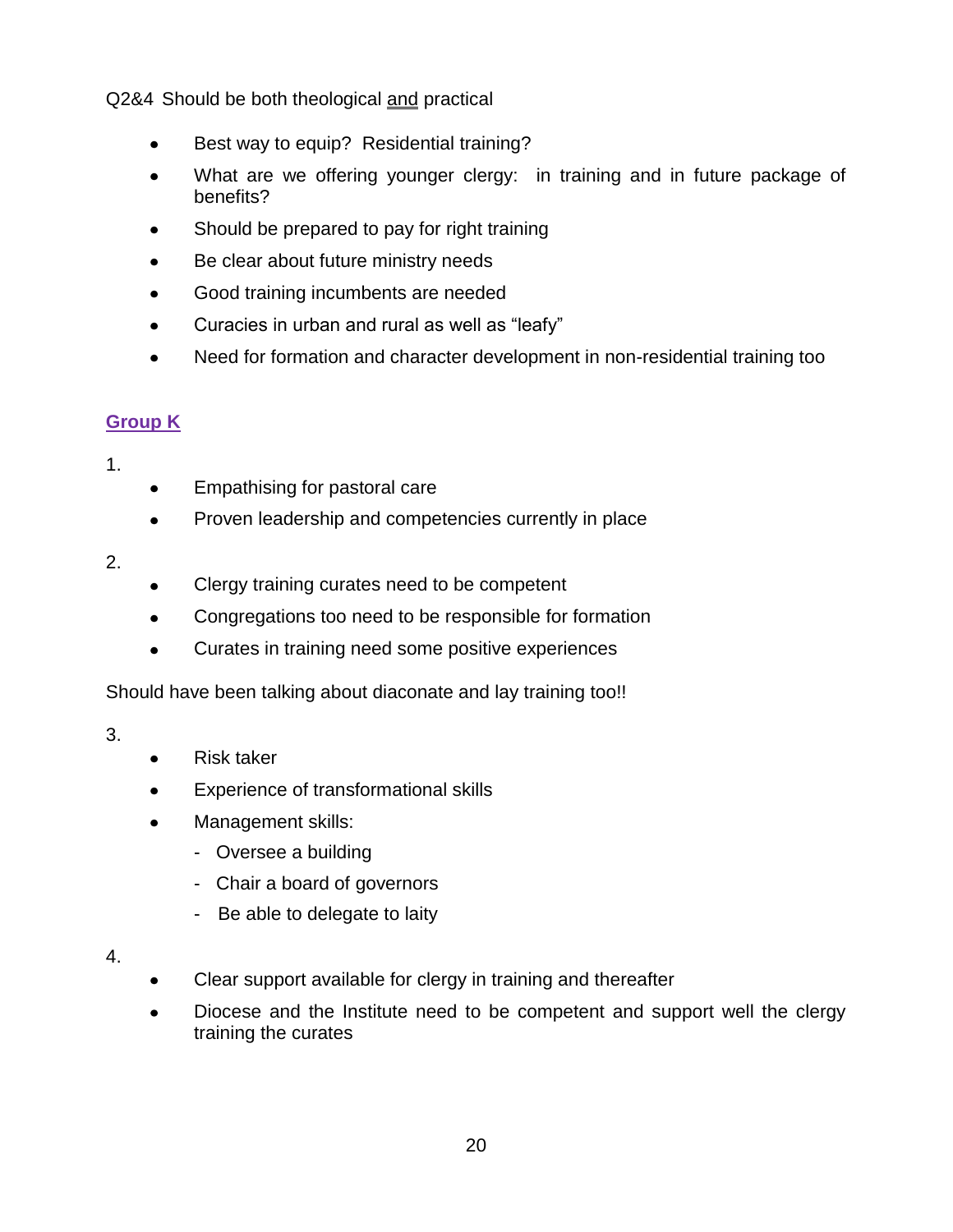Q2&4 Should be both theological and practical

- Best way to equip? Residential training?  $\bullet$
- What are we offering younger clergy: in training and in future package of  $\bullet$ benefits?
- Should be prepared to pay for right training
- Be clear about future ministry needs  $\bullet$
- Good training incumbents are needed  $\bullet$
- Curacies in urban and rural as well as "leafy"  $\bullet$
- Need for formation and character development in non-residential training too  $\bullet$

## **Group K**

1.

- Empathising for pastoral care  $\bullet$
- Proven leadership and competencies currently in place  $\bullet$

## 2.

- Clergy training curates need to be competent  $\bullet$
- Congregations too need to be responsible for formation  $\bullet$
- Curates in training need some positive experiences  $\bullet$

Should have been talking about diaconate and lay training too!!

- Risk taker  $\bullet$
- Experience of transformational skills  $\bullet$
- Management skills:
	- Oversee a building
	- Chair a board of governors
	- Be able to delegate to laity
- 4.
- Clear support available for clergy in training and thereafter
- Diocese and the Institute need to be competent and support well the clergy  $\bullet$ training the curates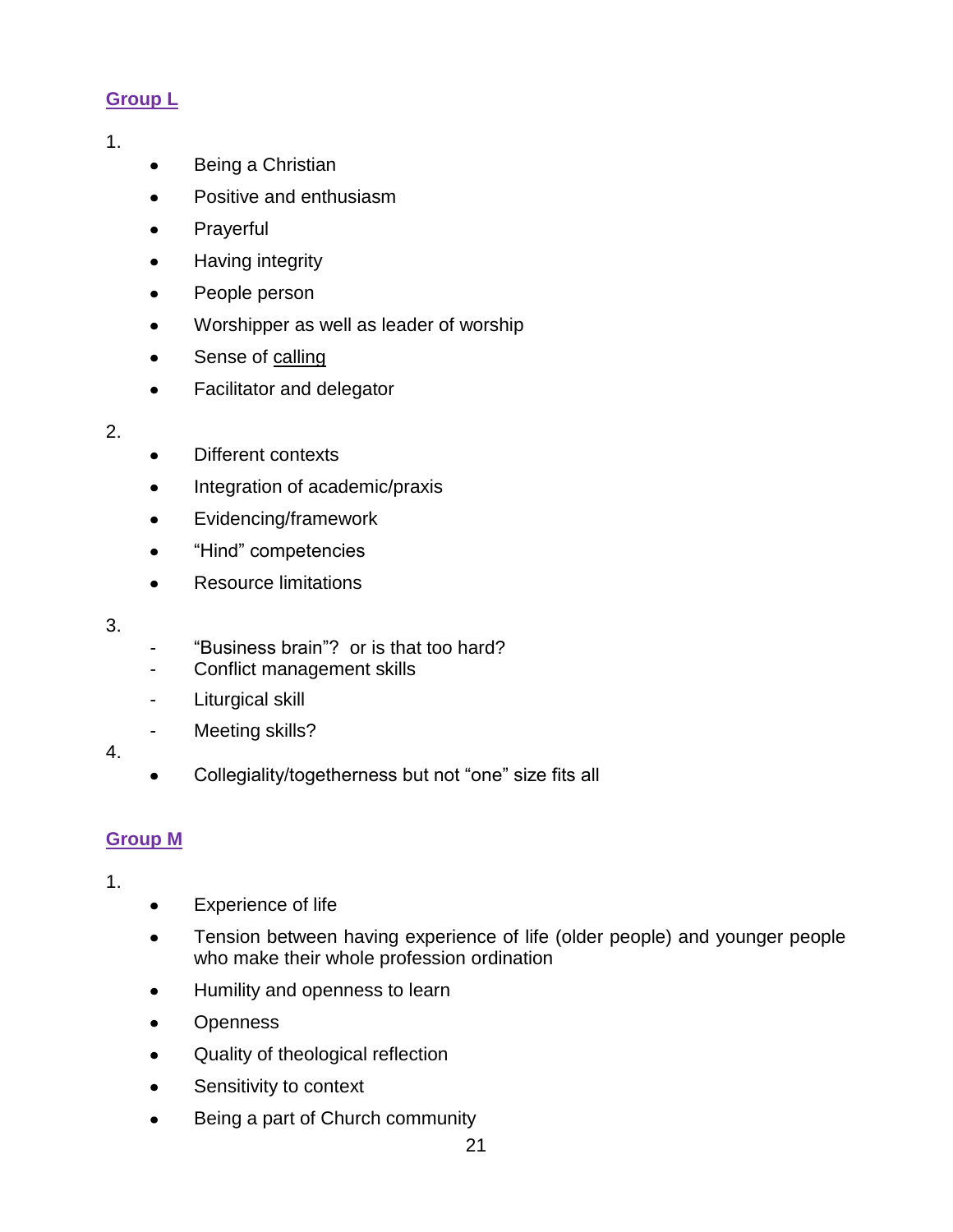# **Group L**

- 1.
- Being a Christian  $\bullet$
- Positive and enthusiasm  $\bullet$
- Prayerful  $\bullet$
- Having integrity  $\bullet$
- $\bullet$ People person
- Worshipper as well as leader of worship  $\bullet$
- $\bullet$ Sense of calling
- Facilitator and delegator  $\bullet$
- 2.
- Different contexts  $\bullet$
- Integration of academic/praxis  $\bullet$
- Evidencing/framework  $\bullet$
- "Hind" competencies  $\bullet$
- Resource limitations  $\bullet$
- 3.
- "Business brain"? or is that too hard?
- Conflict management skills
- Liturgical skill
- Meeting skills?
- 4.
- Collegiality/togetherness but not "one" size fits all  $\bullet$

# **Group M**

- 1.
- Experience of life  $\bullet$
- Tension between having experience of life (older people) and younger people  $\bullet$ who make their whole profession ordination
- Humility and openness to learn  $\bullet$
- **Openness**  $\bullet$
- Quality of theological reflection  $\bullet$
- Sensitivity to context  $\bullet$
- Being a part of Church community $\bullet$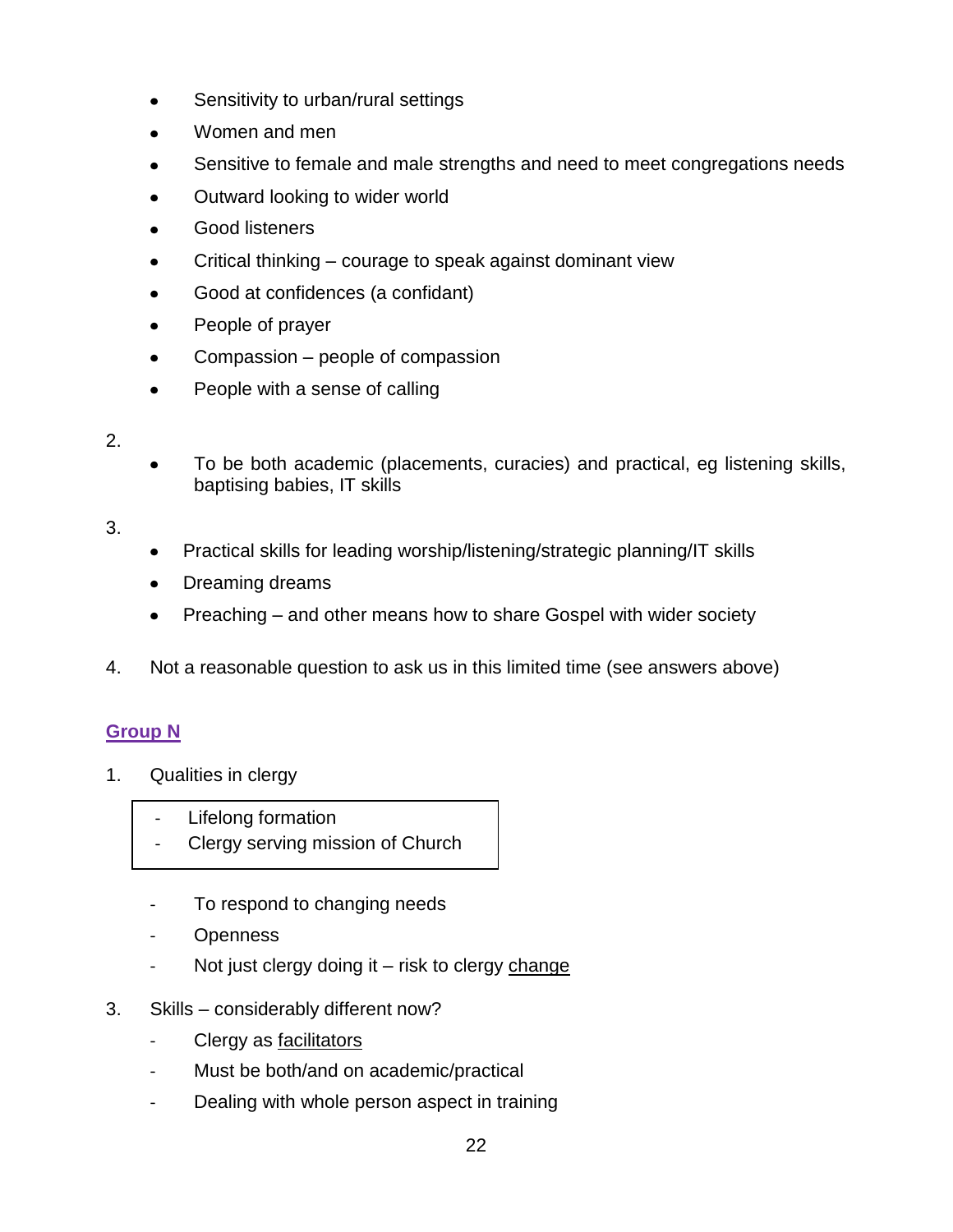- Sensitivity to urban/rural settings  $\bullet$
- Women and men  $\bullet$
- Sensitive to female and male strengths and need to meet congregations needs
- Outward looking to wider world  $\bullet$
- Good listeners  $\bullet$
- Critical thinking courage to speak against dominant view  $\bullet$
- Good at confidences (a confidant)  $\bullet$
- $\bullet$ People of prayer
- Compassion people of compassion  $\bullet$
- People with a sense of calling  $\bullet$
- 2.
- To be both academic (placements, curacies) and practical, eg listening skills, baptising babies, IT skills

3.

- Practical skills for leading worship/listening/strategic planning/IT skills
- Dreaming dreams  $\bullet$
- Preaching and other means how to share Gospel with wider society
- 4. Not a reasonable question to ask us in this limited time (see answers above)

# **Group N**

- 1. Qualities in clergy
	- Lifelong formation
	- Clergy serving mission of Church
	- To respond to changing needs
	- Openness
	- Not just clergy doing it risk to clergy change
- 3. Skills considerably different now?
	- Clergy as facilitators
	- Must be both/and on academic/practical
	- Dealing with whole person aspect in training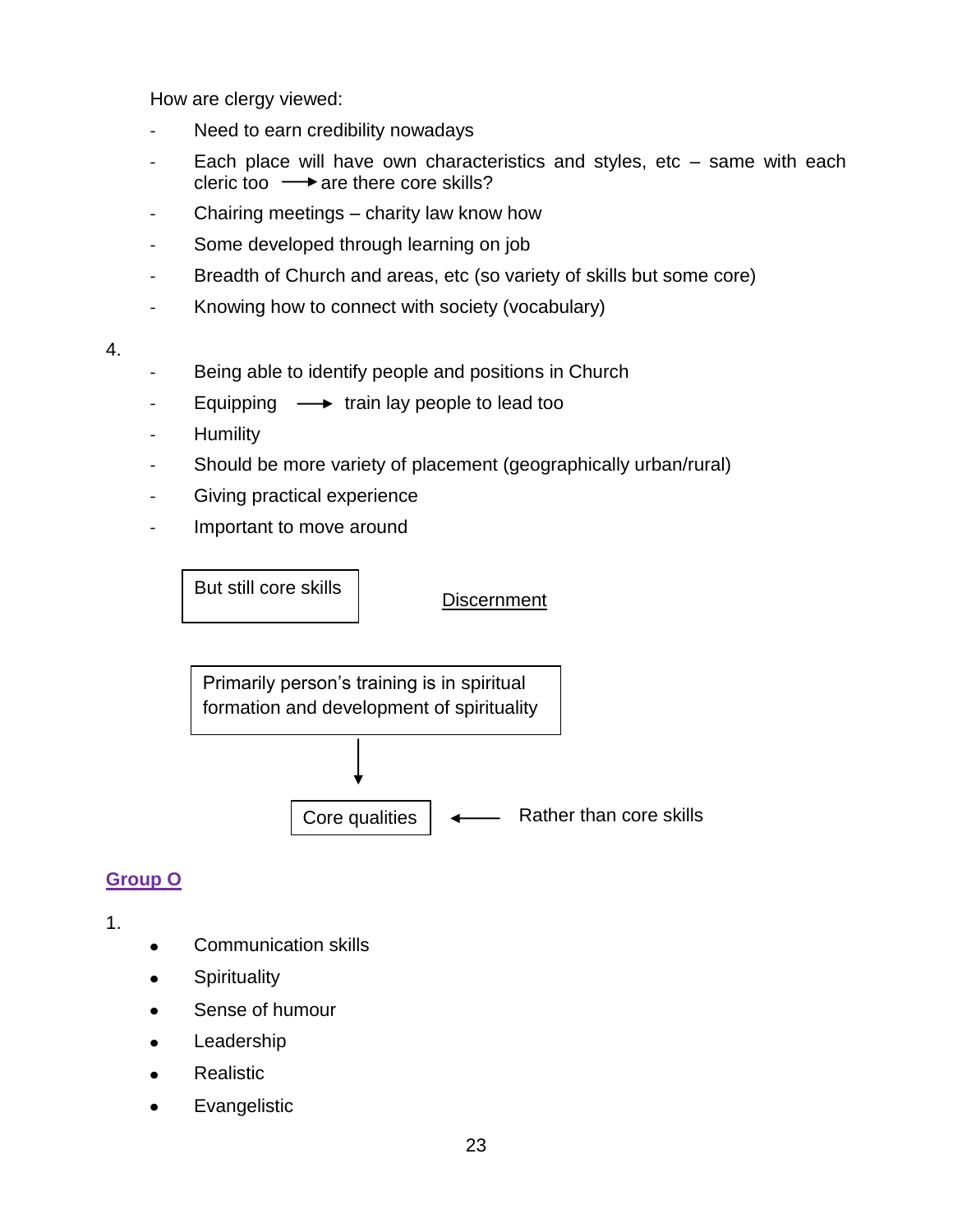How are clergy viewed:

- Need to earn credibility nowadays
- Each place will have own characteristics and styles, etc same with each cleric too  $\longrightarrow$  are there core skills?
- Chairing meetings charity law know how
- Some developed through learning on job
- Breadth of Church and areas, etc (so variety of skills but some core)
- Knowing how to connect with society (vocabulary)
- 4.
- Being able to identify people and positions in Church
- Equipping  $\longrightarrow$  train lay people to lead too
- Humility
- Should be more variety of placement (geographically urban/rural)
- Giving practical experience
- Important to move around

But still core skills

**Discernment** 

Primarily person's training is in spiritual formation and development of spirituality

> Rather than core skills Core qualities

# **Group O**

- Communication skills  $\bullet$
- **Spirituality**  $\bullet$
- Sense of humour  $\bullet$
- Leadership  $\bullet$
- **Realistic**
- Evangelistic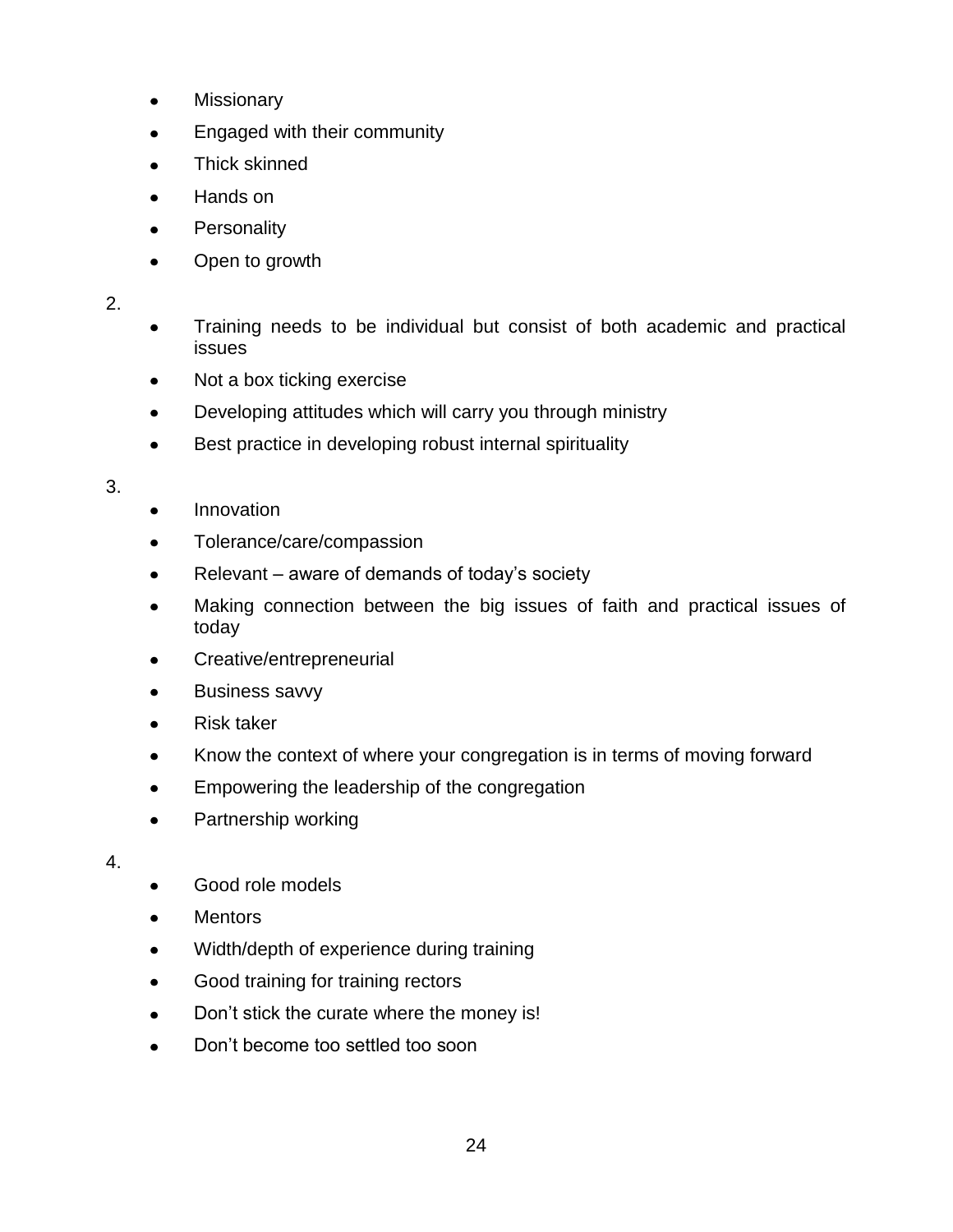- Missionary  $\bullet$
- $\bullet$ Engaged with their community
- Thick skinned  $\bullet$
- Hands on  $\bullet$
- **Personality**  $\bullet$
- $\bullet$ Open to growth

2.

- Training needs to be individual but consist of both academic and practical  $\bullet$ issues
- Not a box ticking exercise  $\bullet$
- Developing attitudes which will carry you through ministry  $\bullet$
- $\bullet$ Best practice in developing robust internal spirituality

3.

- Innovation
- Tolerance/care/compassion  $\bullet$
- Relevant aware of demands of today's society  $\bullet$
- Making connection between the big issues of faith and practical issues of  $\bullet$ today
- Creative/entrepreneurial  $\bullet$
- Business savvy  $\bullet$
- $\bullet$ Risk taker
- Know the context of where your congregation is in terms of moving forward  $\bullet$
- Empowering the leadership of the congregation  $\bullet$
- $\bullet$ Partnership working

- Good role models  $\bullet$
- **Mentors**  $\bullet$
- Width/depth of experience during training  $\bullet$
- Good training for training rectors  $\bullet$
- Don't stick the curate where the money is!  $\bullet$
- Don't become too settled too soon $\bullet$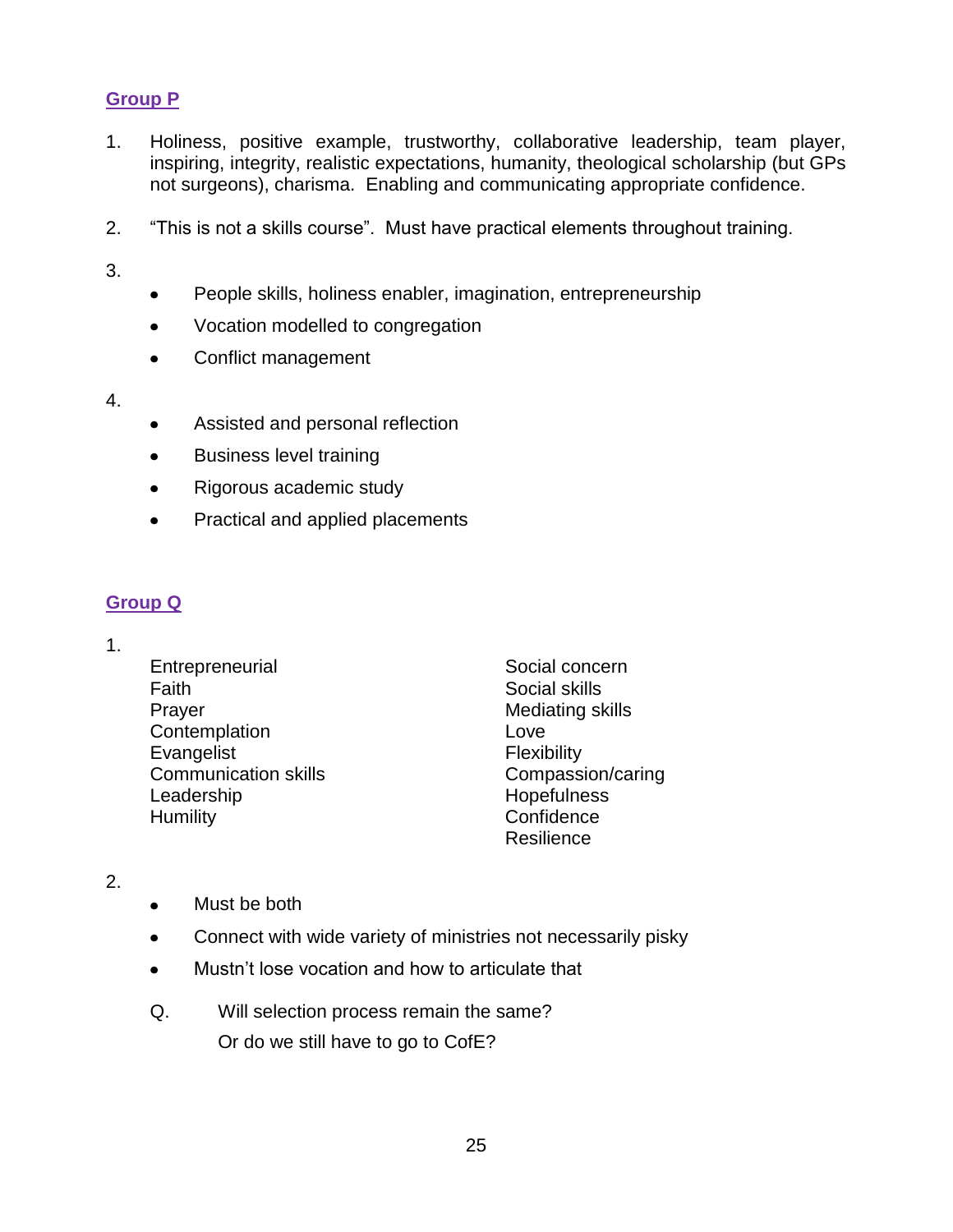## **Group P**

- 1. Holiness, positive example, trustworthy, collaborative leadership, team player, inspiring, integrity, realistic expectations, humanity, theological scholarship (but GPs not surgeons), charisma. Enabling and communicating appropriate confidence.
- 2. "This is not a skills course". Must have practical elements throughout training.

3.

- $\bullet$ People skills, holiness enabler, imagination, entrepreneurship
- Vocation modelled to congregation  $\bullet$
- Conflict management  $\bullet$
- 4.
- Assisted and personal reflection
- $\bullet$ Business level training
- Rigorous academic study  $\bullet$
- $\bullet$ Practical and applied placements

### **Group Q**

- 1.
- **Entrepreneurial** Faith Prayer **Contemplation** Evangelist Communication skills Leadership **Humility**

Social concern Social skills Mediating skills Love Flexibility Compassion/caring **Hopefulness Confidence** Resilience

- 2.
- Must be both
- Connect with wide variety of ministries not necessarily pisky  $\bullet$
- Mustn't lose vocation and how to articulate that  $\bullet$
- Q. Will selection process remain the same? Or do we still have to go to CofE?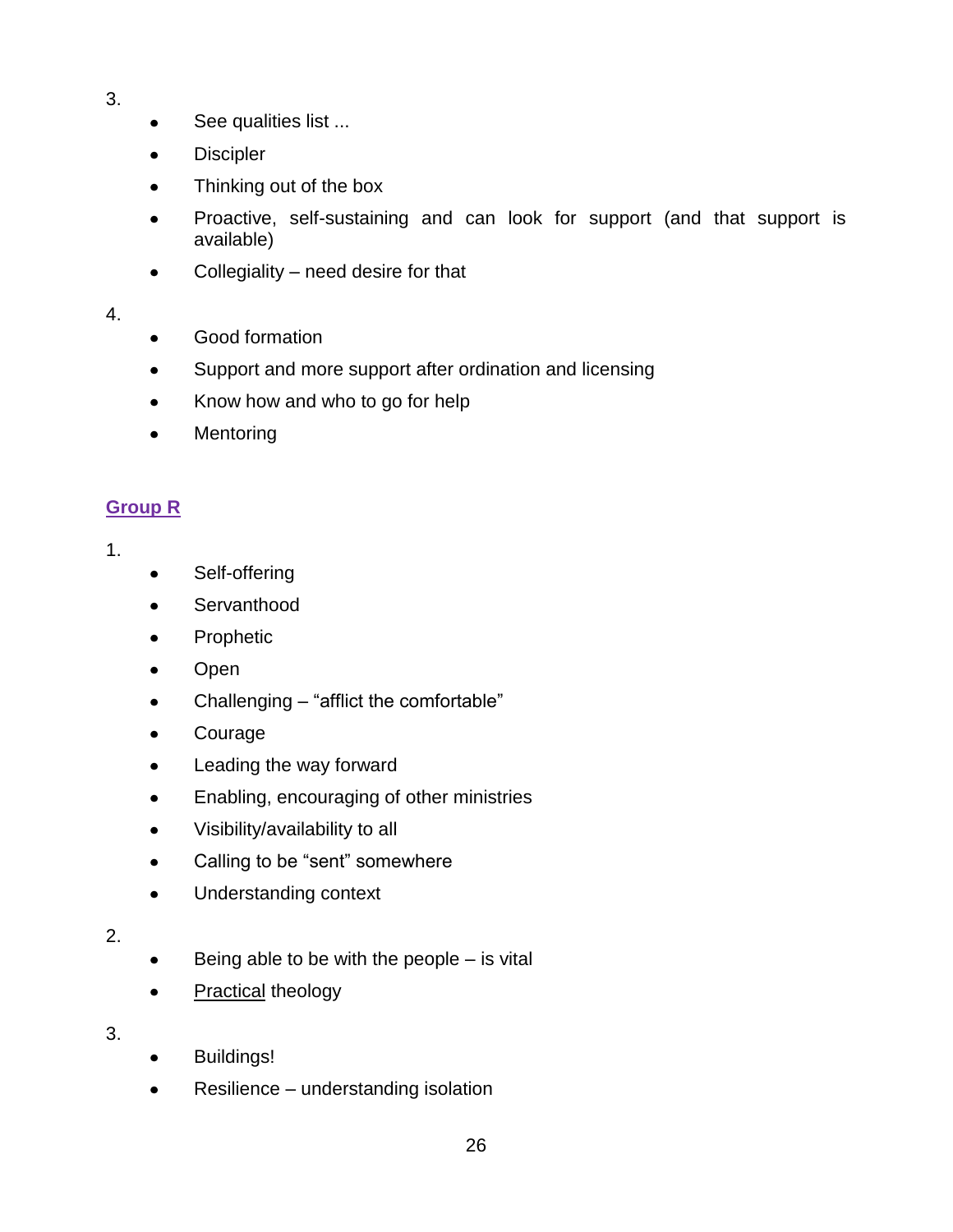- 3.
- See qualities list ...  $\bullet$
- **Discipler**  $\bullet$
- Thinking out of the box
- Proactive, self-sustaining and can look for support (and that support is available)
- Collegiality need desire for that  $\bullet$

### 4.

- Good formation  $\bullet$
- Support and more support after ordination and licensing  $\bullet$
- Know how and who to go for help  $\bullet$
- **Mentoring**  $\bullet$

## **Group R**

### 1.

- Self-offering  $\bullet$
- **Servanthood**  $\bullet$
- Prophetic  $\bullet$
- Open  $\bullet$
- Challenging "afflict the comfortable"  $\bullet$
- Courage  $\bullet$
- Leading the way forward  $\bullet$
- Enabling, encouraging of other ministries  $\bullet$
- $\bullet$ Visibility/availability to all
- Calling to be "sent" somewhere  $\bullet$
- Understanding context  $\bullet$

## 2.

- Being able to be with the people is vital  $\bullet$
- **Practical theology**  $\bullet$

- Buildings!
- Resilience understanding isolation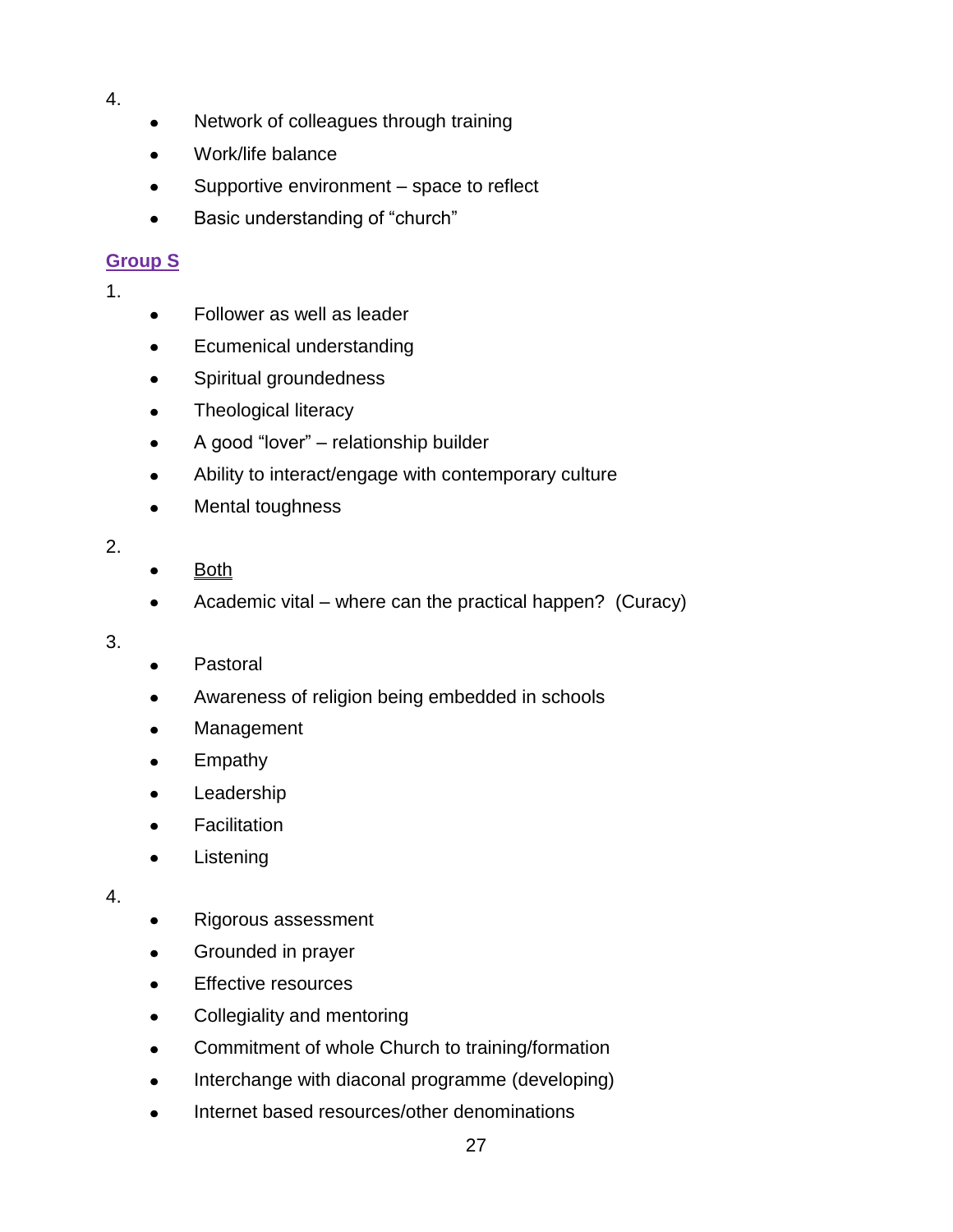- 4.
- Network of colleagues through training
- Work/life balance  $\bullet$
- Supportive environment space to reflect
- Basic understanding of "church"

## **Group S**

1.

- Follower as well as leader  $\bullet$
- Ecumenical understanding  $\bullet$
- Spiritual groundedness  $\bullet$
- Theological literacy  $\bullet$
- A good "lover" relationship builder  $\bullet$
- Ability to interact/engage with contemporary culture  $\bullet$
- Mental toughness  $\bullet$
- 2.
- **Both**
- Academic vital where can the practical happen? (Curacy)  $\bullet$

3.

- Pastoral  $\bullet$
- Awareness of religion being embedded in schools  $\bullet$
- Management  $\bullet$
- Empathy  $\bullet$
- Leadership  $\bullet$
- **Facilitation**  $\bullet$
- **Listening**  $\bullet$

- Rigorous assessment  $\bullet$
- Grounded in prayer  $\bullet$
- Effective resources  $\bullet$
- $\bullet$ Collegiality and mentoring
- Commitment of whole Church to training/formation  $\bullet$
- Interchange with diaconal programme (developing)
- Internet based resources/other denominations $\bullet$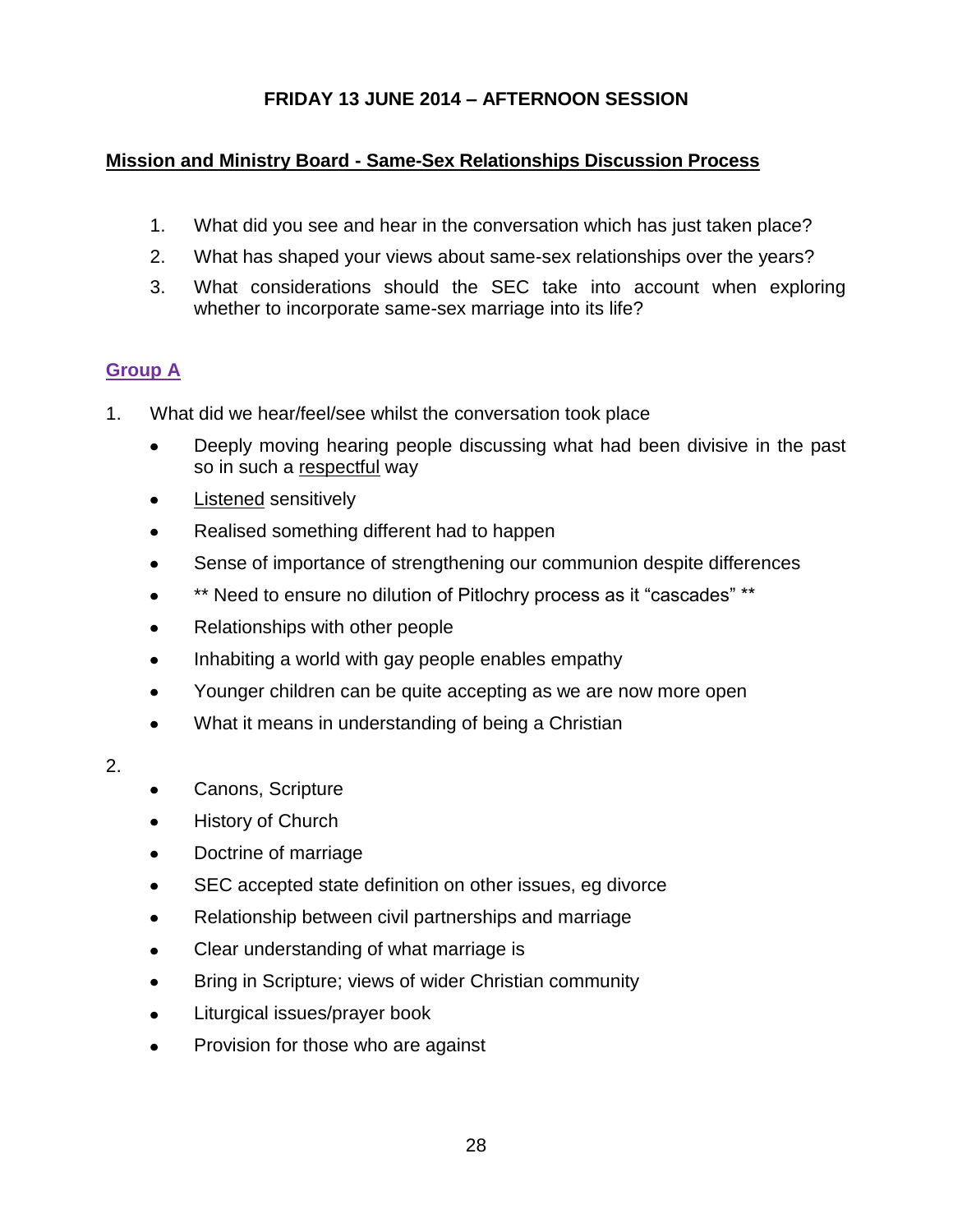## **FRIDAY 13 JUNE 2014 – AFTERNOON SESSION**

## **Mission and Ministry Board - Same-Sex Relationships Discussion Process**

- 1. What did you see and hear in the conversation which has just taken place?
- 2. What has shaped your views about same-sex relationships over the years?
- 3. What considerations should the SEC take into account when exploring whether to incorporate same-sex marriage into its life?

## **Group A**

- 1. What did we hear/feel/see whilst the conversation took place
	- Deeply moving hearing people discussing what had been divisive in the past so in such a respectful way
	- Listened sensitively  $\bullet$
	- Realised something different had to happen
	- Sense of importance of strengthening our communion despite differences
	- \*\* Need to ensure no dilution of Pitlochry process as it "cascades" \*\*
	- Relationships with other people  $\bullet$
	- Inhabiting a world with gay people enables empathy  $\bullet$
	- Younger children can be quite accepting as we are now more open  $\bullet$
	- $\bullet$ What it means in understanding of being a Christian
- 2.
- Canons, Scripture
- History of Church  $\bullet$
- $\bullet$ Doctrine of marriage
- SEC accepted state definition on other issues, eg divorce  $\bullet$
- Relationship between civil partnerships and marriage  $\bullet$
- Clear understanding of what marriage is
- Bring in Scripture; views of wider Christian community
- Liturgical issues/prayer book  $\bullet$
- Provision for those who are against $\bullet$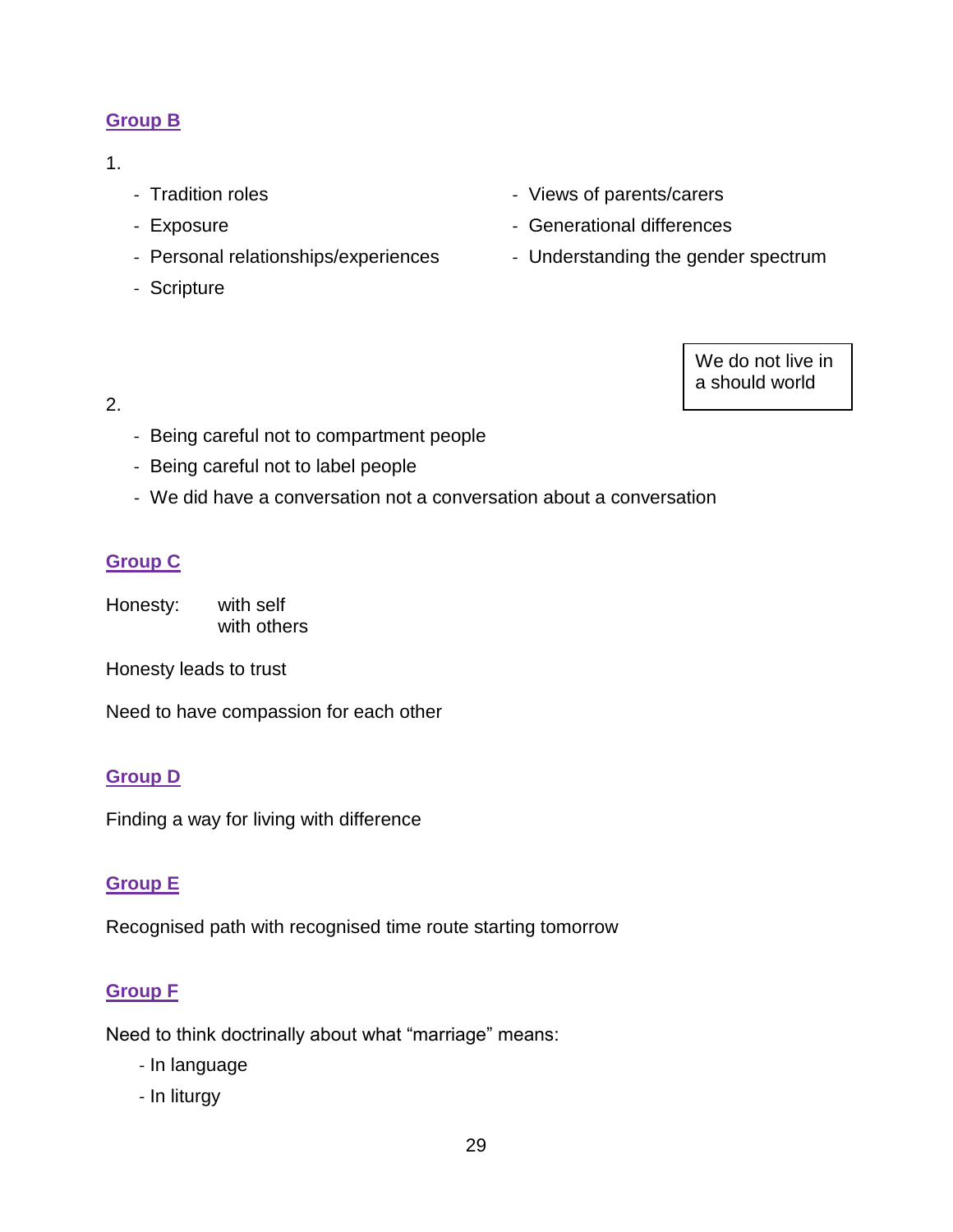## **Group B**

## 1.

- Tradition roles
- Exposure
- Personal relationships/experiences
- Scripture
- Views of parents/carers
- Generational differences
- Understanding the gender spectrum

We do not live in a should world

### 2.

- Being careful not to compartment people
- Being careful not to label people
- We did have a conversation not a conversation about a conversation

# **Group C**

Honesty: with self with others

Honesty leads to trust

Need to have compassion for each other

# **Group D**

Finding a way for living with difference

# **Group E**

Recognised path with recognised time route starting tomorrow

# **Group F**

Need to think doctrinally about what "marriage" means:

- In language
- In liturgy